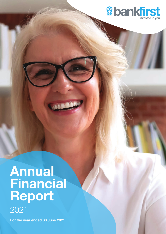

# Annual **Financial** Report 2021

For the year ended 30 June 2021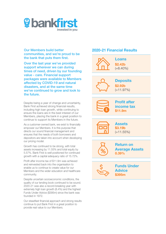

Our Members build better communities, and we're proud to be the bank that puts them first.

Over the last year we've provided support wherever we can during times of need, driven by our founding value - care. Financial support packages were available to Members affected by COVID-19 and natural disasters, and at the same time we've continued to grow and look to the future.

Despite being a year of change and uncertainty, Bank First achieved strong financial results, including high loan growth, while continuing to ensure the loans are in the best interest of our Members, placing the bank in a great position to continue to support its Members in the future.

As a customer-owned bank, we exist to financially empower our Members. It is this purpose that directs our sound financial management and ensures that the needs of both borrowers and depositors are taken into account when developing our pricing model.

Growth has continued to be strong, with total assets increasing by 11.55% and total equity by 5.57%. Bank First is well positioned for continued growth with a capital adequacy ratio of 15.72%.

Profit after income tax of \$11.9m was achieved and reinvested back into the organisation to enable us to continue to create value for our Members and the wider education and healthcare community.

Despite uncertain socioeconomic conditions, the quality of our lending book continued to be sound. 2020-21 was also a record-breaking year with extremely high loan growth (8.4%) and the highest Funds Under Advice (\$395m) since the bank was founded in 1972.

Our steadfast financial approach and strong results continue to put Bank First in a great position to provide real value to our Members.

### 2020-21 Financial Results

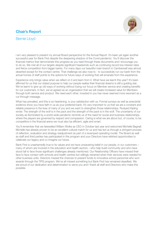### Chair's Report



### Bernie Lloyd

I am very pleased to present my annual Board perspective for the Annual Report. It's been yet again another successful year for Bank First despite the deepening shadow of the Covid pandemic. You'll discover the financial metrics that demonstrate this progress as you read through these documents and I encourage you to do so. We met all of our targets despite significant headwinds such as continuing record low interest rates and fierce competition from bigger banks. For many days our beautiful main branch in Camberwell was almost deserted except for the contact centre. That challenge we also rose to - to successfully run our bank from the actual homes of staff points to the options for future ways of working that will emanate from this experience.

Experience only brings value when we reflect on it and learn from it. What have we learnt this year? It's been affirmed for us that our stated purpose to help our people realise their financial dreams is still a guiding star. We've learnt to give up old ways of working without losing our focus on Member service and creating benefits for our customers. In fact, we've agreed as an organisation that we will create increased value for Members through both service and product. We need each other; invested in you has never seemed more resonant as a cut through message.

What has prevailed, and this is so heartening, is your satisfaction with us. Formal surveys as well as anecdotal evidence show you have faith in us as your preferred bank. It's very important to us that we are a constant and reliable presence in the lives of many of you and we want to strengthen those relationships. Rudyard Kipling wrote: The strength of the wolf is in the pack and the strength of the pack is in the wolf. The uncertainty of our society as illuminated by a world-wide pandemic reminds us of the need for social and business relationships where the players are governed by respect and compassion. Caring is what we are about but, of course, to be competitive in the financial arena we must also be efficient, agile and smart.

You'll remember that we farewelled William Wolke as CEO in October last year and welcomed Michelle Bagnall. Michelle has already proven to be an excellent cultural match for us and has led us through a stringent process of reflection, evaluation and strategy readjustment as part of a revamped operating model. The Board as well as staff and third parties has participated in this program and your Directors have relished opportunities to celebrate our legacy and co-imagine our future.

Bank First is unashamedly true to its values and we have unwavering belief in our people, in our customers – many of whom are involved in the education and health sectors – who help build community and who have stood tall to face those significant challenges already mentioned. Our Relationship Officers have missed their face to face contact with schools and health centres but willingly retrained when their services were needed for other business units. Directors missed the chances to present funds to innovative school personnel who won awards through the TIPS program. We've all missed something but Bank First has remained steadfast. We are proud of our dedication and determination to serve you and I thank all staff and Directors who make this possible.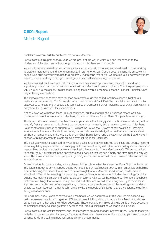### CEO's Report



### Michelle Bagnall

Bank First is a bank built by our Members, for our Members.

As we close out this past financial year, we are proud of the way in which our bank responded to the challenges of the past year with a strong focus on our Members and our people.

We exist to serve essential workers in vocations such as education, nursing and allied health, those working to create a more resilient and strong community, in caring for others. Our purpose is 'financially empowering people who build community realise their dreams'. That means that as you work to make our community more resilient, we are working to help you create greater financial resilience in your own lives.

We have worked hard to ensure that this level of care has shown up in our every-day actions and most importantly in practical ways when we interact with our Members in every small way. Over the past year, under very unusual circumstances, this has meant being there when our Members needed us most – in times when they're facing into hardship.

The impacts of the pandemic have touched so many through this period, and have shone a light on our resilience as a community. That's true also of our people here at Bank First. We have taken extra actions this past year to take care of our people through a series of wellness initiatives, including supporting them with time away from the business for their vaccinations.

Not only have we withstood these unusual conditions, but the strength of our business means we have continued to meet the needs of our Members, to grow and to care for our Bank First people who serve you.

This is my first annual review to our Members as your new CEO, having joined the business in February of this year. My first impressions of this place is that of uncommon humanity and a genuine care for our Members. I wish to extend my thanks to our past CEO, William Wolke, whose 18 years of service at Bank First laid a foundation for the future of stability and safety. I also wish to acknowledge the hard work and dedication of our Board members, under the leadership of our Chair Bernie Lloyd, and the way in which the Board works in concert with management to create an even stronger future for Bank First.

This past year we have continued to invest in our business so that we continue to be safe and strong, meeting all our regulatory requirements. Our lending growth has been the highest in the Bank's history and our focus on responsible practices ensures that we are keeping both our bank and our Members safe. We are committed to continuing our investment in the operations of our bank so that we can simplify and streamline the way we work. This makes it easier for our people to get things done, and in turn will make it easier, faster and simpler for our Members.

As we invest in the bank of today, we are always thinking about what this means for Bank First into the future. This future strategy is being mapped out as we head into our next financial year, with an emphasis on building a better banking experience that is even more meaningful for our Members in education, healthcare and allied health. We will be investing in ways to improve our Member experience, including enhancing our digital experience, making it simpler and easier to do your banking with us. We have heard our Members' feedback that there are things that we need to improve and do better, and we will be working actively to make these improvements. At the heart of our experience, however, is our people and we will be working even harder to ensure we never lose our 'human touch'. We know it's the people of Bank First that truly differentiate us from being just another bank.

2022 will mark our 50 years of service to our Members. As we head into our 50th year, we are consciously taking ourselves back to our origins in 1972 and actively thinking about our foundational Members, who set out to help each other, and their fellow educators. These founding principles of giving our Members access to something that they couldn't get from any other bank are a guiding light as we map out our future.

As we close out the last financial year and look forward to an even stronger, brighter future, I want to thank you on behalf of the whole team for being a Member of Bank First. Thank you for the work that you have done, and continue to do in creating a more resilient and stronger community.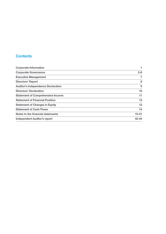### **Contents**

| <b>Corporate Information</b>              |           |
|-------------------------------------------|-----------|
| <b>Corporate Governance</b>               | $2 - 6$   |
| <b>Executive Management</b>               | 7         |
| <b>Directors' Report</b>                  | 8         |
| <b>Auditor's Independence Declaration</b> | 9         |
| <b>Directors' Declaration</b>             | 10        |
| <b>Statement of Comprehensive Income</b>  | 11        |
| <b>Statement of Financial Position</b>    | 12        |
| <b>Statement of Changes in Equity</b>     | 13        |
| <b>Statement of Cash Flows</b>            | 14        |
| Notes to the financial statements         | $15 - 41$ |
| <b>Independent Auditor's report</b>       | $42 - 44$ |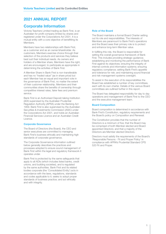### 2021 ANNUAL REPORT

### Corporate Information

Victoria Teachers Limited trading as Bank First, is an Australian for profit company limited by shares and registered under the Corporations Act 2001. It is a mutual entity with a core objective of benefitting its **Memhers** 

Members have two relationships with Bank First, as a customer and as an owner/shareholder. As customers, Members exercise choice through their selection of the products and services they believe best suit their individual needs. As owners and holders of a Member share, Members have the right, and are encouraged, to participate as appropriate in determining the activities of Bank First.

A Member Share in Bank First is non-transferable and has no "traded value" (as in share price) but each Member has an equal and important vote in the governance of Bank First, no matter the extent of their customer relationship. Members and their communities share the benefits of ownership through competitive interest rates, fairer fees and premium service.

Bank First is an Authorised Deposit-taking Institution (ADI) supervised by the Australian Prudential Regulation Authority (APRA) under the Banking Act 1959. Bank First is also supervised by the Australian Securities & Investments Commission (ASIC) under the Corporations Act 2001, and holds an Australian Financial Services Licence and an Australian Credit Licence.

### Corporate Governance

The Board of Directors (the Board), the CEO and senior executives are committed to managing Bank First's business ethically and maintaining high standards of corporate governance.

The Corporate Governance information outlined below generally describes the practices and processes adopted to ensure sound management of Bank First within the legal and regulatory framework it operates under.

Bank First is protected by the same safeguards that apply to all ADIs (which includes listed banks, credit unions, and building societies), and is regulated by the same authorities. Bank First and its related bodies corporate (the 'Consolidated Entity') acts in accordance with the laws, regulations, standards and codes applicable to it; seeks to adopt proper standards of business practice; and act ethically and with integrity.

### Role of the Board

The Board maintains a formal Board Charter setting out its role and responsibilities. The interests of Members are paramount to Bank First's operations and the Board sees their primary role is to protect and enhance long-term Member value.

In fulfilling this role, the Board is responsible for setting the overall governance framework of Bank First. This includes providing strategic guidance; establishing and monitoring the performance of Bank First against its objectives; ensuring the integrity of internal controls and information systems; ensuring regulatory compliance; setting Bank First's appetite and tolerance for risk; and maintaining sound financial and risk management systems oversight.

To assist in the execution of its responsibilities the Board has established a number of key committees, each with its own charter. Details of the various Board committees are outlined further in this report.

The Board has delegated responsibility for day to day operations and management of Bank First to the CEO and the executive management team.

### Board Composition

Board composition is determined in accordance with Bank First's Constitution, regulatory requirements and the Board's policy on Composition and Renewal.

The Constitution provides that the number of Directors is a minimum of five; that the Board may be comprised of both Member elected and Board appointed Directors; and that a majority of the Directors are Member elected Directors.

Directors must satisfy the requirements of the Board's 'Responsible Persons - Fit and Proper Policy' in compliance with APRA's Prudential Standard CPS 520 Fit and Proper.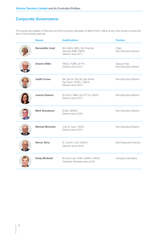The names and details of Directors and the Company Secretary of Bank First in office at any time during or since the end of the financial year are:

| <b>Names</b>            | <b>Qualifications</b>                                                            | <b>Position</b>                         |
|-------------------------|----------------------------------------------------------------------------------|-----------------------------------------|
| <b>Bernadette Lloyd</b> | BA, DipEd, MEd, Dip Financial<br>Services (AMI), FAICD<br>Director since 2011    | Chair,<br>Non-Executive Director        |
| <b>Graeme Willis</b>    | FAICD, FCIBS, SF Fin<br>Director since 2013                                      | Deputy Chair,<br>Non-Executive Director |
| <b>Judith Crowe</b>     | BA, Dip Ed, Dip SS, Dip Admin,<br>Dip Psych, FACEL, GAICD<br>Director since 2018 | Non-Executive Director                  |
| <b>Joanne Dawson</b>    | B.Comm, MBA, Dip FP, CA, FAICD<br>Director since 2014                            | Non-Executive Director                  |
| <b>Mark Devadason</b>   | <b>B.SSc, MAICD</b><br>Director since 2020                                       | Non-Executive Director                  |
| <b>Michael Monester</b> | LLB, B. Juris., FAICD<br>Director since 2010                                     | Non-Executive Director                  |
| <b>Simon Terry</b>      | B. Comm, LLB, GAICD<br>Director since 2018                                       | Non-Executive Director                  |
| <b>Emily McGrath</b>    | B.Hons Law, AGIA, AGRCI, AAICD<br>Company Secretary since 2018                   | Company Secretary                       |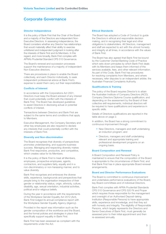#### Director Independence

It is the policy of Bank First that the Chair of the Board and a majority of the Directors are independent Non-Executive Directors. In assessing independence, the Board considers whether any Director has relationships that would materially affect their ability to exercise unfettered and independent judgment in looking after the interests of Bank First and its Members. In this regard, and more broadly, Bank First complies with APRA's Prudential Standard CPS 510 Governance.

The Board's renewal and succession processes support the maintenance of a majority of independent Non-Executive directors.

There are procedures in place to enable the Board collectively, and each Director individually, to seek independent professional advice at Bank First's expense to assist them carry out their responsibilities.

#### Conflicts of Interest

In accordance with the Corporations Act 2001, Directors must keep the Board advised of any interest that could potentially conflict with the interests of Bank First. The Board has developed guidelines to assist Directors in disclosing actual or potential conflicts of interest.

Transactions between Directors and Bank First are subject to the same terms and conditions that apply to Members.

Executive Management, the Company Secretary and other key employees are also required to declare any interests that could potentially conflict with the interests of Bank First.

#### Diversity and Non-discrimination

The Board recognises that diversity of perspectives promotes understanding, and supports business success. Managing and respecting diversity makes Bank First responsive, productive, and competitive, which creates value for its Members.

It is the policy of Bank First to treat all Members, employees, prospective employees, agents, contractors, and suppliers fairly, equally and in a non-discriminatory or non-harassing manner, and to value diversity.

Bank First recognises and embraces the diverse skills, experience, backgrounds and perspectives that people bring to the organisation irrespective of their gender or relationship status, origin, ethnicity, culture, disability, age, sexual orientation, industrial activities, political and/or religious beliefs.

During the year in accordance with the requirements of the Workplace Gender Equality Act 2012 (Act), Bank First lodged its annual compliance report with the Workplace Gender Equality Agency (Agency).

Provided in the report was information such as the gender composition of the workforce and the Board, and the formal policies and strategies in place that specifically support equality in Bank First.

Bank First has been assessed as compliant with the requirements under the Act.

### Ethical Standards

The Board has adopted a Code of Conduct to guide the Directors in ethical and responsible decision making, and in recognising their legal and other obligations to stakeholders. All Directors, management and staff are expected to act with the utmost honesty and integrity at all times, in accordance with the values of Bank First.

The Board has also agreed that Bank First be bound by the Customer Owned Banking Code of Practice which sets down principles by which Bank First deals with its Members and keeps them informed of the services available, fees, and other relevant information. As part of this Code, Bank First has procedures for resolving complaints from Members, and where necessary, refer disputes to an independent arbiter, the Australian Financial Complaints Authority.

### Qualifications & Training

The policy of the Board requires Director's to attain the Australian Institute of Company Directors (AICD), Company Directors Diploma Course qualification; and depending on the assessment by the Board of their collective skill requirements, individual directors will be required to have qualifications and experience in specific skills.

Details of Directors qualifications are reported in the table above on page 2.

In addition, the Board has a strong commitment to continuous improvement through:

- New Directors, managers and staff undertaking an induction program; and
- Directors, managers and staff undertaking relevant and appropriate training and professional development programs on an ongoing basis.

### Board Composition and Renewal

A Board Composition and Renewal Policy is maintained to ensure that the composition of the Board is appropriate to the circumstances of Bank First; and that Bank First has in place appropriate Board renewal arrangements.

### Board and Director Performance Evaluations

The Board is committed to continuous improvement and undertakes performance evaluations of the Board, key Board committees and of individual Directors.

Bank First complies with APRA Prudential Standards CPS 510 Governance and CPS 520 Fit and Proper which requires those responsible for the management and oversight of an Authorised Deposit-taking Institution (Responsible Persons) to have appropriate skills, experience and knowledge, and that they act with honesty and integrity. The eligibility of Responsible Persons, which largely represents the Directors and Senior Executives of Bank First, must generally be assessed prior to their initial appointment and then re-assessed annually.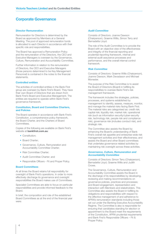#### Director Remuneration

Remuneration for Directors is determined by the Board as approved by Members at a General Meeting. The pool of approved remuneration funds is allocated to each Director in accordance with their specific role and responsibilities.

The Board has approved a Remuneration Policy and the remuneration of the Directors, the CEO and Executive Managers is overseen by the Governance, Culture, Remuneration and Accountability Committee.

Further information in relation to the remuneration of Directors, the CEO and Executive Managers (those persons determined to be Key Management Personnel) is contained in the notes to the financial statements.

### Controlled entities

The activities of controlled entities in the Bank First group are overseen by Bank First's Board. They have their own Board of Directors that are drawn from Bank First's Board and Executive Management. The entities are required to operate within Bank First's governance framework.

### Constitution, Board and Committee Charters, and Policies

The Board operates in accordance with Bank First's Constitution, a comprehensive policy framework, the Board Charter, and the Charters of Board Committees.

Copies of the following are available on Bank First's website at bankfirst.com.au:

- Constitution:
- Board Charter;
- Governance, Culture, Remuneration and Accountability Committee Charter;
- Risk Committee Charter:
- Audit Committee Charter: and
- Responsible Officers Fit and Proper Policy.

### Board Committees

At all times the Board retains full responsibility for oversight of Bank First's operations. In order to more effectively discharge its governance and oversight responsibilities the Board makes use of Committees.

Specialist Committees are able to focus on particular responsibilities and provide informed feedback to the Board.

In brief, the composition and role of the established Board Committees as at the end of the financial year were:

### Audit Committee

Consists of Directors: Joanne Dawson (Chairperson), Graeme Willis, Simon Terry and Bernadette Lloyd.

The role of the Audit Committee is to provide the Board with an objective view of the effectiveness and integrity of the financial reporting and prudential reporting framework, internal and external audit assurance processes and performance, and the overall internal control framework

### Risk Committee

Consists of Directors: Graeme Willis (Chairperson), Joanne Dawson, Mark Devadason and Michael Monester.

The purpose of the Risk Committee is to assist the Board of Directors (Board) in fulfilling its responsibilities to oversee Bank First's risk management framework.

The framework includes the strategies, policies, processes, and systems established by management to identify, assess, measure, monitor, and manage the material risks facing Bank First. The material risks are categorised as: credit risk; capital risk; liquidity risk; market risk; operational risk (such as information security/cyber-security risk, technology risk, people risk and compliance risk), governance risk (includes conduct risk), and strategic risk.

The Committee also assists the Board by enhancing the Board's understanding of Bank First's overall risk appetite and enterprise-wide risk management activities and their effectiveness; and assists the Board and other Board committees that undertake governance related activities by maintaining risk oversight across these activities.

### Governance, Culture, Remuneration and Accountability Committee

Consists of Directors: Simon Terry (Chairperson), Bernadette Lloyd, Graeme Willis and Judith Crowe.

The Governance, Culture, Remuneration and Accountability Committee assists the Board in the discharge of its responsibilities by developing, reviewing and making recommendations on governance policies, practices and processes; and Board engagement, representation and interaction with Members and stakeholders. This Committee also assists the Board in fulfilling its obligations and responsibilities with respect to the effective management of and adherence to APRA's remuneration standards including those set out under the Banking Executive Accountability Regime. The Committee is also is responsible for ensuring that candidates standing for election or appointment to the Board meet the requirements of the Constitution, APRA prudential requirements and Bank First's Responsible Officers – Fit & Proper Policy.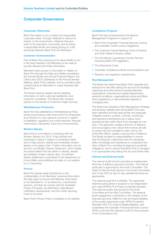### Corporate Citizenship

Bank First seeks to be a trusted and responsible corporate citizen, through initiatives to reduce its impact on the environment, initiatives that give back to the education community, and by being a responsible lender and basing pricing on a fair exchange between Bank First and Members.

### Customer Communication

Part of Bank First carrying out its responsibility to act in the best interests of its Members is the need to provide relevant and timely information.

Members have access to information in relation to Bank First through the Slate and eSlate newsletters, the Annual Review and Annual Financial Report, the Chair's and CEO's addresses to the Annual General Meeting, Bank First's website, and by providing other contact points for Members to make enquiries with Bank First.

The Board receives regular reports detailing information on both customer satisfaction and customer complaints. The Board also receives reports on the results of Customer Insight Surveys.

#### Whistleblower Protection

Bank First has established a Whistleblowing Policy aimed at providing a safe environment for employees and Directors to voice genuine concerns in relation to legislative, regulatory and code breaches, financial misconduct, impropriety, fraud and criminal activity.

### Modern Slavery

Bank First is committed to complying with the Modern Slavery Act 2018. It has policies and processes in place in relation to workplace rights and to help prevent, identify and remediate modern slavery in its supply chain. Further information can be found in our Modern Slavery Statement, which details the actions Bank First has taken to identify, assess and address modern slavery risks. Our Modern Slavery Statement is submitted to the Department of Home Affairs and published annually on our website by 31 December.

#### **Privacy**

Bank First places great importance on the confidentiality of our Members' personal information. We take steps to ensure that Member information is not disclosed to, or accessed by, unauthorised persons, and that we comply with the Australian Privacy Principles, the Mandatory Data Breach notification requirements, and the Credit reporting Code of Conduct.

Bank First's Privacy Policy is available on its website.

### Compliance Program

Bank First has comprehensive Compliance Management Programs in support of:

- Bank First's Australian Financial Services Licence and Australian Credit Licence obligations;
- The Customer Owned Banking Code of Practice and other relevant industry codes;
- The Anti-Money Laundering Counter-Terrorist Financing (AML/CTF) legislation;
- The ePayments Code;
- Corporate compliance policies and procedures; and
- Statutory and regulatory requirements.

#### Risk Management

The Board has determined Bank First's appetite and tolerance for risk after taking into account its strategic objectives and other factors including Member expectations, financial and capital requirements, external conditions, organisational culture and Bank First's experience or demonstrated capacity in managing risks.

The Board has adopted a Risk Management Strategy and ensures material risks facing Bank First have been identified and that appropriate and adequate mitigation actions, policies, controls, monitoring and reporting mechanisms are in place. Each operational area within Bank First manages its own risks. This approach creates a first line of defence and encourages a risk culture that involves all staff. A central risk and compliance team, led by the Chief Risk Officer, creates a second line of defence. The Board accepts its responsibilities to ensure that the Directors collectively have the necessary skills, knowledge and experience to understand the risks of Bank First, including its legal and prudential obligations; and to ensure that Bank First is managed in an appropriate way taking into account these risks.

### Internal and External Audit

The Internal Audit function provides an independent third line of defence assurance function. The internal audit plan is approved by the Audit Committee. The Head of Internal Audit reports to the Audit Committee; and to the CEO for day-to-day operational issues as appropriate.

The external audit firm is Deloitte. The appointed external audit partner is required to be independent and meet APRA's Fit & Proper prudential standard. The external auditor has access to the Audit Committee and the Risk Committee. The external audit engagement contributes to the integrity of the financial reporting, fulfills the role and responsibilities of the auditor appointed under APRA Prudential Standard APS 310 Audit & Related Matters, and undertakes the Australian Financial Services Licence (AFSL) audit and the statutory audit for the purposes of the Corporations Act.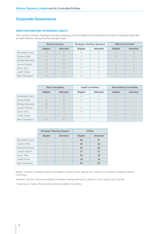### DIRECTORS MEETING ATTENDANCE 2020/21

The number of Board meetings (including meetings of Committees of the Board) and number of meetings attended by each Director during the financial year were:

|                  | <b>Board meetings</b> |                 |               | <b>Strategic Interface Sessions</b> | <b>GRCA Committee*</b> |                 |
|------------------|-----------------------|-----------------|---------------|-------------------------------------|------------------------|-----------------|
|                  | <b>Eligible</b>       | <b>Attended</b> | Eligible      | <b>Attended</b>                     | <b>Eligible</b>        | <b>Attended</b> |
| Bernadette Lloyd |                       |                 |               |                                     |                        |                 |
| Graeme Willis    | 11                    | 11              | $\mathcal{P}$ | Ω                                   |                        |                 |
| Michael Monester | 11                    | 10              | ∩             | ∩                                   |                        |                 |
| Joanne Dawson    | 11                    | 11              | $\cap$        | Ω                                   |                        |                 |
| Simon Terry      | 11                    | 11              | $\cap$        | ∩                                   |                        | $\Delta$        |
| Judith Crowe     | 11                    | 11              | $\cap$        | ◠                                   |                        | 4               |
| Mark Devadason   |                       | 11              |               |                                     |                        |                 |

|                  |                          | <b>Risk Committee</b> |                | <b>Audit Committee</b> |                 | <b>Nominations Committee</b> |  |
|------------------|--------------------------|-----------------------|----------------|------------------------|-----------------|------------------------------|--|
|                  | <b>Eligible</b>          | <b>Attended</b>       | Eligible       | <b>Attended</b>        | <b>Eligible</b> | <b>Attended</b>              |  |
| Bernadette Lloyd | $\overline{\phantom{a}}$ | 9                     | $\overline{4}$ |                        |                 |                              |  |
| Graeme Willis    | 9                        | 9                     | $\overline{4}$ |                        |                 |                              |  |
| Michael Monester | 9                        | 9                     |                |                        |                 |                              |  |
| Joanne Dawson    | 9                        | 9                     | $\overline{4}$ |                        |                 |                              |  |
| Simon Terry      |                          |                       |                | 4                      |                 |                              |  |
| Judith Crowe     |                          | $\sim$                | $\sim$         | $\sim$                 |                 |                              |  |
| Mark Devadason   | 9                        | 9                     | $\sim$         |                        |                 |                              |  |

|                  | <b>Strategic Planning Session</b> |                 |                 | <b>TOTAL</b>    |
|------------------|-----------------------------------|-----------------|-----------------|-----------------|
|                  | <b>Eligible</b>                   | <b>Attended</b> | <b>Eligible</b> | <b>Attended</b> |
| Bernadette Lloyd |                                   |                 | 22              | 31              |
| Graeme Willis    |                                   |                 | 32              | 32              |
| Michael Monester |                                   |                 | 23              | 22              |
| Joanne Dawson    |                                   |                 | 27              | 27              |
| Simon Terry      |                                   |                 | 23              | 23              |
| Judith Crowe     |                                   |                 | 18              | 18              |
| Mark Devadason   |                                   |                 | 24              | 23              |

Eligible - Number of meetings directors are eligible to attend in their capacity as a member of the Board or respective Board Committee.

Attended - Number of Board and Board Committee meetings attended by directors in their capacity as a member.

\* Governance, Culture, Remuneration and Accountability Committee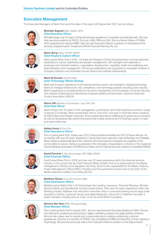### Executive Management

The Executive Managers of Bank First as at the date of this report (28 September 2021) are as follows:



Michelle Bagnall MBA, GAICD, SFFin Chief Executive Officer

Michelle brings over 25 years of financial services experience in Australia and internationally. She has held executive positions at RACQ, Suncorp, NAB, RBS and IAG. She is a Senior Fellow of FINSIA, AICD graduate and holds an MBA. She has held Executive Director positions on the Boards of the Suncorp Superannuation Trustee and RACQ Financial Planning Pty Ltd.

### Glenn Borg B.Bus, CAHRI, GAICD Chief People & Culture Officer

Glenn joined Bank First in 2007. He leads the People & Culture functional team and has extensive experience in culture, leadership and people management, with strengths and expertise in employee and industrial relations, organisation development, capability, health and wellbeing and talent attraction and management. His formal qualifications are supported by Australian Institute of Company Directors and Australian Human Resources Institute memberships.



### Mark Di Donato GCertITLdshp Chief Technology Officer (Acting)

Mark has 25 years' experience in the financial services sector with strengths in leading technology teams to manage infrastructure, risk, compliance, and technology projects including cyber security. Mark's experience is complemented by his active membership of the Australian Computer Security, The Institute of Electrical and Electronics Engineers (IEEE) and Information Systems Audit and Control Association (ISACA).



### Alison Hill Bachelor of Commerce / Law, CPA, CIA Chief Risk Officer

Alison brings over 25 years of risk management, governance, and audit experience across a range of sectors in Australia. Alison joined Bank First in June 2021 and prior to that held senior positions at RACQ Bank and Deakin University. She is passionate about instilling good governance practices as well as developing high performing teams that enable achievement of business goals in a safe and responsible way.



### **Ashley Hood B.Com FFin** Chief Operations Officer

Prior to joining Bank First, Ashley was COO of Beyond Bank Australia and CEO of Nexus Mutual. He is a banker with over 30 years' experience, having held senior executive roles at Bendigo and Adelaide Bank. Ashley is passionate about the customer and improving the prosperity and capacity of the communities he serves. Ashley is a graduate of the University of Queensland, a Director of the Customer Owned Banking Association (COBA) and a Fellow at the Financial Services Institute of Australia (FINSIA).



### David Percival B. Bus (Accounting), CPA, MBA, GAICD Chief Financial Officer

David joined Bank First in 2002 and has over 30 years experience within the financial services industry. In his current role as Chief Financial Officer at Bank First he is responsible for the Banks management, statutory and regulatory reporting. David is also responsible for the Banks Treasury, Project Management Office (PMO), Property and Procurements functions and is the Chair of the Banks Asset and Liability Committee (ALCO).



### **Matthew Ricker B. Ec (Economics), MBA** Chief Distribution Officer

Matthew joined Bank First in 2018 and leads the Lending, Insurance, Financial Planning, Member Service Centre and the Member Contact Centre teams. With over 30 years' experience within the Banking industry, Matthew has held senior executive roles in consumer banking across large scale operations, finance, customer service and sales/distribution. Since 2013, Matthew has been a board member, including time as Chair, of not-for-profit KIDS Foundation.



### **Simone Van Veen MBA, BA (psychology)** Chief Member Officer

Prior to joining Bank First in August 2021, Simone was Executive Everyday Banking at NAB. Simone has held senior positions across product, digital, marketing, projects and agile delivery functions. Simone has a deep care for people and is passionate about creating outstanding customer experiences. Simone is a member of FINSIA, has completed an MBA and Bachelor of Arts majoring in Psychology. Simone has previously held a Non-Executive Director position on the Eftpos Board.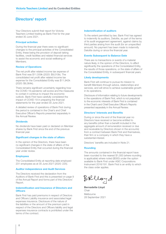### Directors' report

Your Directors submit their report for Victoria Teachers Limited trading as Bank First for the year ended 30 June 2021.

### Principal activities

During the financial year there were no significant changes to the principal activities of the Consolidated Entity, these being the provision of deposit taking facilities, credit facilities and related financial services to assist the economic and social wellbeing of **Members** 

#### Review of Operations

The net profit after related income tax expense of Bank First was \$11,559k (2020: \$9,010k). The consolidated net profit after related income tax expense for the Consolidated Entity was \$11,942k (2020: \$9,364k).

There remains significant uncertainty regarding how the COVID-19 pandemic will evolve and the measures to contain it continue to impact the economic outlook. Bank First have carefully considered the impact of COVID-19 in preparing the financial statements for the year ended 30 June 2021.

A detailed review of operations of Bank First during the period is contained in the Chair's and Chief Executive Officer's Reports presented separately in the Annual Review.

### **Dividends**

No dividends have been paid or declared on Member shares by Bank First since the end of the previous financial year.

#### Significant changes in the state of affairs

In the opinion of the Directors, there have been no significant changes in the state of affairs of the Consolidated Entity that occurred during the financial year under review.

### **Employees**

The Consolidated Entity at reporting date employed 231 employees as at 30 June 2021 (2020: 225).

#### Auditor independence and Audit Services

The Directors received the declaration from the Auditors of Bank First and this is presented on page 9 of the Annual Report and forms part of this Directors' Report.

### Indemnification and Insurance of Directors and **Officers**

Bank First has paid premiums in respect of Directors and Officers Liability insurance and associated legal expenses insurance. Disclosure of the nature of the liabilities or the amount of the premium paid in respect of the Directors and Officers liability and legal expenses insurance contracts is prohibited under the terms of the contract.

#### Indemnification of auditors

To the extent permitted by law, Bank First has agreed to indemnify its auditors, Deloitte, as part of the terms of its audit engagement agreement, against claims by third parties arising from the audit (for an unspecified amount). No payment has been made to indemnify Deloitte during or since the financial year.

#### Events Subsequent to Balance Date

There are no transactions or events of a material nature likely, in the opinion of the Directors, to affect significantly the operations of the Consolidated Entity, the results of those operations, or the state of affairs of the Consolidated Entity, in subsequent financial years.

### Likely developments

Bank First will continue to pursue its mission to benefit Members through advice, relationships and services, and will strive to achieve sustainable growth in its operations.

Disclosure of information relating to future developments in the operations of Bank First, which is not prejudicial to the economic interests of Bank First is contained in the Chair's and Chief Executive Officer's Reports presented separately in the Annual Review.

#### Directors' Interests and Benefits

During or since the end of the financial year no Directors have received or become entitled to any benefits (other than a benefit included in the aggregate amount of remuneration received or due and receivable by Directors shown in the accounts) from a contract between Bank First and themselves, their firm or a company in which they have a substantial interest.

Directors' benefits are included in Note 21.

#### Rounding

The amounts contained in the financial report have been rounded to the nearest \$1,000 (where rounding is applicable) where noted (\$000) under the option available to Bank First under ASIC Corporations Instrument 2016/191. Bank First is an entity to which the class order applies.

BRUayd

Bernadette Lloyd Chair Melbourne 28 September 2021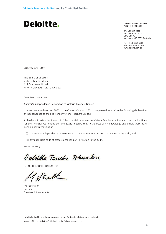Deloitte Touche Tohmatsu Pelolite Totche Tom  $M = 490121000$ 

477 Collins Street 477 Collins Street<br>Melbourne VIC 3000 GPO Box 78 SFO BOX 76<br>Melbourne VIC 3001 Australia  $F$  ividibourne  $V$  identity

Tel: +61 3 9671 7000 Fax: +61 3 9671 7001 www.deloitte.com.au

28 September 2021

The Board of Directors Victoria Teachers Limited 117 Camberwell Road HAWTHORN EAST VICTORIA 3123

Dear Board Members **Independence Dear** 

### Auditor's Independence Declaration to Victoria Teachers Limited

In accordance with section 307C of the *Corporations Act 2001*, I am pleased to provide the following declaration of independence to the directors of Victoria Teachers Limited.

As lead audit partner for the audit of the financial statements of Victoria Teachers Limited and controlled entities for the financial year ended 30 June 2021, I declare that to the best of my knowledge and belief, there have been no contraventions of: **Corporations act 2001 in relations act 2001** in relations and audit in relations and audit in relations act 2001 in relations act 2001 in relations act 2001 in relations and audit in relations a

- (i) the auditor independence requirements of the *Corporations Act 2001* in relation to the audit; and
- (ii) any applicable code of professional conduct in relation to the audit.

Yours sincerely

Deloible Touche Tohmaton

DELOITTE TOUCHE TOHMATSU

 $\sqrt{2}$ Partner

Mark Stretton Partner Chartered Accountants

Liability limited by a scheme approved under Professional Standards Legislation.

Member of Deloitte Asia Pacific Limited and the Deloitte organisation.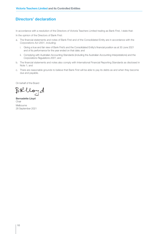### Directors' declaration

In accordance with a resolution of the Directors of Victoria Teachers Limited trading as Bank First, I state that:

In the opinion of the Directors of Bank First:

- a. The financial statements and notes of Bank First and of the Consolidated Entity are in accordance with the *Corporations Act 2001*, including:
	- i. Giving a true and fair view of Bank First's and the Consolidated Entity's financial position as at 30 June 2021 and of its performance for the year ended on that date; and
	- ii. Complying with Australian Accounting Standards (including the Australian Accounting Interpretations) and the *Corporations Regulations 2001*; and
- b. The financial statements and notes also comply with International Financial Reporting Standards as disclosed in Note 1; and
- c. There are reasonable grounds to believe that Bank First will be able to pay its debts as and when they become due and payable.

On behalf of the Board

BRUoyd

Bernadette Lloyd Chair Melbourne 28 September 2021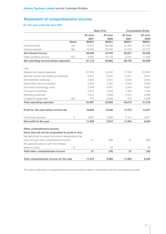### Statement of comprehensive income

### For the year ended 30 June 2021

|                                                          |              | <b>Bank First</b> |         | <b>Consolidated Entity</b> |         |
|----------------------------------------------------------|--------------|-------------------|---------|----------------------------|---------|
|                                                          |              | 30 June           | 30 June | 30 June                    | 30 June |
|                                                          |              | 2021              | 2020    | 2021                       | 2020    |
|                                                          | <b>Notes</b> | \$000's           | \$000's | \$000's                    | \$000's |
| Interest income                                          | 3(a)         | 74,610            | 88,496  | 73,409                     | 87,243  |
| Interest expense                                         | 3(b)         | 16,582            | 33,732  | 16,578                     | 33,723  |
| Net interest income                                      |              | 58,028            | 54,764  | 56,831                     | 53,520  |
| Other operating income                                   | 3(c)         | 9,085             | 10,128  | 9,914                      | 11,039  |
| Net operating income before expenses                     |              | 67,113            | 64,892  | 66,745                     | 64,559  |
| Less                                                     |              |                   |         |                            |         |
| Salaries and related expenses                            |              | 27,352            | 25,943  | 27,352                     | 25,943  |
| Member access and statement expenses                     |              | 6,221             | 6.347   | 6,221                      | 6,347   |
| Administration expenses                                  |              | 3,628             | 3,641   | 3,628                      | 3,643   |
| Depreciation and amortisation                            |              | 2,003             | 2,283   | 3,029                      | 3,296   |
| Information technology costs                             |              | 5,048             | 4,861   | 5,048                      | 4,861   |
| Occupancy expenses                                       |              | 3,321             | 3,346   | 1,380                      | 1,493   |
| Marketing expenses                                       |              | 2,544             | 2,699   | 2,544                      | 2,699   |
| Charge for impairment                                    | 3(d)         | 470               | 2,936   | 470                        | 2,936   |
| <b>Total operating expenses</b>                          |              | 50,587            | 52,056  | 49,672                     | 51,218  |
| Profit for the year before income tax                    |              | 16,526            | 12,836  | 17,073                     | 13,341  |
| Income tax expense                                       | 4            | 4,967             | 3,826   | 5,131                      | 3,977   |
| Net profit for the year                                  |              | 11,559            | 9,010   | 11,942                     | 9,364   |
| Other comprehensive income                               |              |                   |         |                            |         |
| Items that will not be reclassified to profit or loss    |              |                   |         |                            |         |
| Net gain/(loss) on equity instruments designated at fair |              |                   |         |                            |         |
| value through other comprehensive income                 |              | 51                | (66)    | 51                         | (66)    |
| Net gains/(losses) on cash flow hedges                   |              |                   |         |                            |         |
| taken to equity                                          | 15           |                   | 48      |                            | 48      |
| Total other comprehensive income                         |              | 51                | (18)    | 51                         | (18)    |
| Total comprehensive income for the year                  |              | 11,610            | 8,992   | 11,993                     | 9,346   |
|                                                          |              |                   |         |                            |         |

The above statement of comprehensive income should be read in conjunction with the accompanying notes.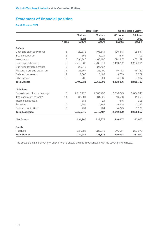### Statement of financial position

### As at 30 June 2021

|                               |                | <b>Bank First</b> |           | <b>Consolidated Entity</b> |           |
|-------------------------------|----------------|-------------------|-----------|----------------------------|-----------|
|                               |                | 30 June           | 30 June   | 30 June                    | 30 June   |
|                               |                | 2021              | 2020      | 2021                       | 2020      |
|                               | <b>Notes</b>   | \$000's           | \$000's   | \$000's                    | \$000's   |
| <b>Assets</b>                 |                |                   |           |                            |           |
| Cash and cash equivalents     | 5              | 120,373           | 108,541   | 120,373                    | 108,541   |
| Trade receivables             | 6              | 565               | 1,021     | 645                        | 1,103     |
| Investments                   | $\overline{7}$ | 594,347           | 463,197   | 594,347                    | 463,197   |
| Loans and advances            | 8              | 2,419,862         | 2,232,311 | 2,419,862                  | 2,232,311 |
| Due from controlled entities  | 9              | 23,749            | 24,437    |                            |           |
| Property, plant and equipment | 11             | 23,567            | 26,490    | 45,732                     | 46,189    |
| Deferred tax assets           | 12             | 3,660             | 3,482     | 3,759                      | 3,569     |
| Other assets                  | 10             | 7,708             | 7,324     | 4,168                      | 3,817     |
| <b>Total Assets</b>           |                | 3,193,831         | 2,866,803 | 3,188,886                  | 2,858,727 |
| <b>Liabilities</b>            |                |                   |           |                            |           |
| Deposits and other borrowings | 13             | 2,917,720         | 2,605,432 | 2,916,045                  | 2,604,343 |
| Trade and other payables      | 14             | 35,234            | 31,925    | 16,538                     | 11,395    |
| Income tax payable            |                | 385               | 24        | 646                        | 208       |
| Provisions                    | 16             | 5,255             | 5,782     | 5,255                      | 5,782     |
| Deferred tax liabilities      | 12             | 251               | 264       | 4,345                      | 3,929     |
| <b>Total Liabilities</b>      |                | 2,958,845         | 2,643,427 | 2,942,829                  | 2,625,657 |
| <b>Net Assets</b>             |                | 234,986           | 223,376   | 246,057                    | 233,070   |
| <b>Equity</b>                 |                |                   |           |                            |           |
| Reserves                      |                | 234,986           | 223,376   | 246,057                    | 233,070   |
| <b>Total Equity</b>           |                | 234,986           | 223,376   | 246,057                    | 233,070   |

The above statement of comprehensive income should be read in conjunction with the accompanying notes.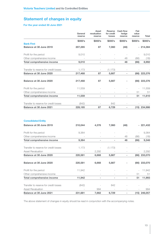### Statement of changes in equity

### For the year ended 30 June 2021

|                                       | General<br>reserve | Asset<br>revaluation<br>reserve | Reserve<br>for credit<br>losses | <b>Cash flow</b><br>hedge<br>reserve | Fair<br>value<br>reserve | <b>Total</b>   |
|---------------------------------------|--------------------|---------------------------------|---------------------------------|--------------------------------------|--------------------------|----------------|
|                                       | \$000's            | \$000's                         | \$000's                         | \$000's                              | \$000's                  | \$000's        |
| <b>Bank First</b>                     |                    |                                 |                                 |                                      |                          |                |
| <b>Balance at 30 June 2019</b>        | 207,285            | 87                              | 7,060                           | (48)                                 |                          | - 214,384      |
| Profit for the period                 | 9,010              |                                 |                                 |                                      |                          | 9,010          |
| Other comprehensive income            |                    |                                 |                                 | 48                                   | (66)                     | (18)           |
| <b>Total comprehensive income</b>     | 9,010              |                                 |                                 | 48                                   | (66)                     | 8,992          |
| Transfer to reserve for credit losses | 1,173              |                                 | (1, 173)                        |                                      |                          |                |
| Balance at 30 June 2020               | 217,468            | 87                              | 5,887                           | ä,                                   |                          | (66) 223,376   |
| Balance at 30 June 2020               | 217,468            | 87                              | 5,887                           |                                      |                          | (66) 223,376   |
| Profit for the period                 | 11,559             |                                 |                                 |                                      |                          | 11,559         |
| Other comprehensive income            |                    |                                 |                                 |                                      | 51                       | 51             |
| <b>Total comprehensive income</b>     | 11,559             | ÷,                              | $\overline{\phantom{a}}$        | $\sim$                               | 51                       | 11,610         |
| Transfer to reserve for credit losses | (842)              |                                 | 842                             |                                      |                          |                |
| Balance at 30 June 2021               | 228,185            | 87                              | 6,729                           | $\sim$                               |                          | $(15)$ 234,986 |
| <b>Consolidated Entity</b>            |                    |                                 |                                 |                                      |                          |                |
| Balance at 30 June 2019               | 210,044            | 4,376                           | 7,060                           | (48)                                 |                          | $-221,432$     |
| Profit for the period                 | 9,364              |                                 |                                 | J.                                   |                          | 9,364          |
| Other comprehensive income            |                    |                                 |                                 | 48                                   | (66)                     | (18)           |
| <b>Total comprehensive income</b>     | 9,364              |                                 | ä,                              | 48                                   | (66)                     | 9,346          |
| Transfer to reserve for credit losses | 1,173              |                                 | (1, 173)                        |                                      |                          |                |
| <b>Asset Revaluation</b>              |                    | 2,292                           |                                 |                                      |                          | 2,292          |
| Balance at 30 June 2020               | 220,581            | 6,668                           | 5,887                           |                                      |                          | (66) 233,070   |
| Balance at 30 June 2020               | 220,581            | 6,668                           | 5,887                           |                                      |                          | (66) 233,070   |

Profit for the period 11,942 - - - - - 11,942 Other comprehensive income and the state of the state of the state of the state of the state of the state of the state of the state of the state of the state of the state of the state of the state of the state of the state Total comprehensive income 11,942 - - - - 51 11,993 Transfer to reserve for credit losses (842) - 842 - - - Asset Revaluation and the set of the set of the set of the set of the set of the set of the set of the set of the set of the set of the set of the set of the set of the set of the set of the set of the set of the set of th Balance at 30 June 2021 231,681 7,662 6,729 - (15) 246,057

The above statement of changes in equity should be read in conjunction with the accompanying notes.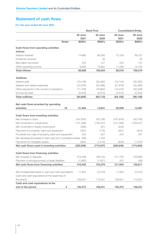### Statement of cash flows

### For the year ended 30 June 2021

|                                                                   | <b>Bank First</b> |            | <b>Consolidated Entity</b> |            |  |
|-------------------------------------------------------------------|-------------------|------------|----------------------------|------------|--|
|                                                                   | 30 June           | 30 June    | 30 June                    | 30 June    |  |
|                                                                   | 2021              | 2020       | 2021                       | 2020       |  |
| <b>Notes</b>                                                      | \$000's           | \$000's    | \$000's                    | \$000's    |  |
| <b>Cash flows from operating activities</b>                       |                   |            |                            |            |  |
| <b>Inflows</b>                                                    |                   |            |                            |            |  |
| Interest received                                                 | 74,960            | 89,360     | 73,759                     | 88,107     |  |
| Dividends received                                                |                   | 35         |                            | 35         |  |
| Bad debts recovered                                               | 203               | 127        | 203                        | 127        |  |
| Other operating income                                            | 9,905             | 10,832     | 11,056                     | 12,150     |  |
| <b>Total inflows</b>                                              | 85,068            | 100,354    | 85,018                     | 100,419    |  |
| <b>Outflows</b>                                                   |                   |            |                            |            |  |
| Interest paid                                                     | (19, 148)         | (35, 392)  | (19, 144)                  | (35, 383)  |  |
| Salaries and related expenses                                     | (27, 879)         | (25, 486)  | (27, 879)                  | (25, 486)  |  |
| Other payments in the course of operations                        | (11, 759)         | (19, 862)  | (12, 244)                  | (20, 236)  |  |
| Income tax paid                                                   | (4, 819)          | (4,973)    | (4, 915)                   | (5,033)    |  |
| <b>Total outflows</b>                                             | (63, 605)         | (85, 713)  | (64, 182)                  | (86, 138)  |  |
|                                                                   |                   |            |                            |            |  |
| Net cash flows provided by operating                              |                   |            |                            |            |  |
| activities<br>18                                                  | 21,463            | 14,641     | 20,836                     | 14,281     |  |
| <b>Cash flows from investing activities</b>                       |                   |            |                            |            |  |
| Net increase in loans                                             | (187, 976)        | (43, 738)  | (187, 976)                 | (43, 738)  |  |
| Net movement in investments                                       | (131, 388)        | (129, 247) | (131, 388)                 | (129, 247) |  |
| Net movement in equity investments                                | (298)             | (61)       | (203)                      |            |  |
| Payments for property, plant and equipment                        | (491)             | (778)      | (491)                      | (814)      |  |
| Proceeds from sale of property, plant and equipment               | 243               | 207        | 243                        | 207        |  |
| Net decrease/(increase) in loans due from controlled entities 688 |                   | 1,200      |                            |            |  |
| Payments for intangible assets                                    | (834)             | (1,010)    | (834)                      | (1,010)    |  |
| Net cash flows used in investing activities                       | (320, 056)        | (173, 427) | (320, 649)                 | (174, 602) |  |
|                                                                   |                   |            |                            |            |  |
| <b>Cash flows from financing activities</b>                       |                   |            |                            |            |  |
| Net increase in deposits                                          | 312,288           | 156,103    | 311,702                    | 155,860    |  |
| Payment of principal portion of lease liabilities                 | (1,863)           | (1,827)    | (57)                       | (49)       |  |
| Net cash flows from financing activities                          | 310,425           | 154,276    | 311,645                    | 155,811    |  |
|                                                                   |                   |            |                            |            |  |
| Net increase/(decrease) in cash and cash equivalents              | 11,832            | (4, 510)   | 11,832                     | (4, 510)   |  |
| Cash and cash equivalents at the beginning of                     |                   |            |                            |            |  |
| the period                                                        | 108,541           | 113,051    | 108,541                    | 113,051    |  |
| Cash and cash equivalents at the                                  |                   |            |                            |            |  |
| end of the period<br>5                                            | 120,373           | 108,541    | 120,373                    | 108,541    |  |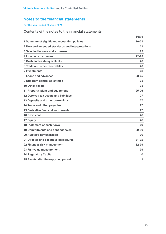### For the year ended 30 June 2021

### Contents of the notes to the financial statements

|                                                 | Page      |
|-------------------------------------------------|-----------|
| 1 Summary of significant accounting policies    | $16 - 21$ |
| 2 New and amended standards and interpretations | 21        |
| 3 Selected income and expenses                  | 22        |
| 4 Income tax expense                            | $22 - 23$ |
| 5 Cash and cash equivalents                     | 23        |
| 6 Trade and other receivables                   | 23        |
| <b>7 Investments</b>                            | 23        |
| 8 Loans and advances                            | $23 - 25$ |
| 9 Due from controlled entities                  | 25        |
| <b>10 Other assets</b>                          | 25        |
| 11 Property, plant and equipment                | $25 - 26$ |
| 12 Deferred tax assets and liabilities          | 27        |
| 13 Deposits and other borrowings                | 27        |
| 14 Trade and other payables                     | 27        |
| <b>15 Derivative financial instruments</b>      | 27        |
| <b>16 Provisions</b>                            | 28        |
| 17 Equity                                       | 28        |
| <b>18 Statement of cash flows</b>               | 29        |
| <b>19 Commitments and contingencies</b>         | $29 - 30$ |
| 20 Auditor's remuneration                       | 30        |
| 21 Director and executive disclosures           | $31 - 32$ |
| 22 Financial risk management                    | 32-39     |
| 23 Fair value measurement                       | 39        |
| <b>24 Regulatory Capital</b>                    | 40        |
| 25 Events after the reporting period            | 41        |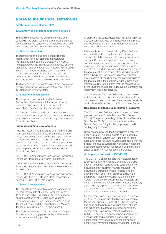### For the year ended 30 June 2021

#### 1. Summary of significant accounting policies

The significant accounting policies that have been adopted in the preparation of the financial statements have been applied consistently to all periods and have been applied consistently by the consolidated entity.

#### a. Basis of preparation

The financial report is a general purpose financial report, which has been prepared in accordance with the requirements of the *Corporations Act 2001*, Australian Accounting Standards and other authoritative pronouncements of the Australian Accounting Standards Board. The financial report has been prepared on a going concern basis using a historical cost basis, except for land and buildings, derivatives and equity investments, which have been measured at fair value.

The financial report is presented in Australian dollars and all values are rounded to the nearest thousand dollars (\$000's) unless otherwise stated.

#### b. Statement of compliance

The financial report complies with Australian Accounting Standards and International Financial Reporting Standards (IFRS) as issued by the International Accounting Standards Board.

No new or amended standards or interpretations that apply to the current financial year have caused a need for significantly altering the accounting policies of the Consolidated Entity.

### Future Accounting Developments:

Australian Accounting Standards and interpretations that have recently been issued or amended but are not yet effective and have not been adopted by the Consolidated Entity for the annual reporting period ended 30 June 2021, are set out below together with an assessment of the impact of these new standards and interpretations (to the extent relevant to the Consolidated Entity):

AASB 2020-5 Amendments to Australian Accounting Standards - Insurance Contracts - No Impact.

AASB 2020-8 Amendments to Australian Accounting Standards - Interest Rate Benchmark Reform Phase 2 - No Impact.

AASB 2021-3 Amendments to Australian Accounting Standards - Covid-19-Related Rent Concessions beyond 30 June 2021 - No impact.

### c. Basis of consolidation

The consolidated financial statements comprise the financial statements of Victoria Teachers Limited, its subsidiary VTMB Properties Pty Ltd and special purpose entities as at 30 June each year (the Consolidated Entity). Bank First comprises Victoria Teachers Limited and the consolidation of Victoria Teachers Trust Series 2012-1 (the "Series").

The financial statements of subsidiaries are prepared for the same reporting period as Bank First, using consistent accounting policies.

In preparing the consolidated financial statements, all intercompany balances and transactions and profits and losses resulting from intra-group transactions have been eliminated in full.

Investments in subsidiaries held by Bank First are accounted for at cost in the separate financial statements of the parent entity less any impairment charges. Dividends, if applicable, received from subsidiaries are recorded as a component of other revenues in the separate income statement of the parent entity, and do not impact the recorded cost of the investment. Upon receipt of dividend payments from subsidiaries, the parent will assess whether any indicators of impairment of the carrying value of the investment in the subsidiary exist. Where such indicators exist, to the extent that the carrying value of the investment exceeds its recoverable amount, an impairment loss is recognised.

Subsidiaries are fully consolidated from the date on which control is obtained by the Consolidated Entity and cease to be consolidated from the date on which control is transferred out of the Consolidated Entity.

### Residential Mortgage Securitisation Programs:

The Consolidated Entity engages in a securitisation program with the Victoria Teachers Trust Series 2012-1. The principal activity of the Victoria Teachers Trust Series 2012-1 is to act as a securitisation Special Purpose Entity for the purpose of liquidity contingency for Bank First.

Securitisation provides the Consolidated Entity the option to liquefy a pool of assets and increase its funding capacity. Where Bank First has on-going exposure to the risks and rewards associated with the assets (e.g. due to subscription of issued notes), the originated assets remain recognised on the balance sheet of Bank First for accounting purposes.

### d. Impact of coronavirus (COVID-19)

The COVID-19 pandemic and the measures taken to contain it have dramatically changed the global economic outlook, causing large scale economic disruption and volatility in financial markets. The disruption is expected to lead to rising levels of unemployment and higher credit defaults. In an attempt to mitigate the economic effects of the COVID-19 pandemic, governments, regulators and central banks have offered significant fiscal, regulatory and monetary support to business and consumers. The extent of those efforts to reduce the adverse effects of the pandemic remain uncertain.

Management have carefully considered the impact of COVID-19 in preparing the financial statements for the year ended 30 June 2021. The key impact has been on the provision for impairment of loans and advances. In assessing forecast conditions, management have incorporated the effects of COVID-19 and government support measures on a reasonable and supportable basis. The AASB 9 impairment methodology, and the definition of default have remained consistent with prior periods.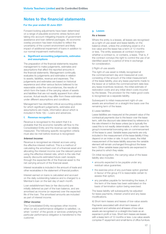### For the year ended 30 June 2021

Forward looking adjustments have been determined on a range of plausible economic stress factors and taking into account mitigating impacts of government assistance and loan deferral packages. An economic overlay provision has been included to reflect the uncertainty of the current environment and likely impact of additional impairment of loans in addition to our normal impairment methodology.

### e. Significant accounting judgements, estimates and assumptions

The preparation of the financial statements requires management to make judgements, estimates and assumptions that affect the reported amounts in the financial statements. Management continually evaluates its judgements and estimates in relation to assets, liabilities, revenue and expenses. The judgements and estimates are based on historical experience and other various factors believed to be reasonable under the circumstances, the results of which form the basis of the carrying values of assets and liabilities that are not readily apparent from other sources. Actual results may differ from these estimates under different assumptions and conditions.

Management has identified critical accounting policies for which significant judgements, estimates and assumptions are made, information about which is included in Note 1(k) – Loans and advances.

### f. Revenue recognition

Revenue is recognised to the extent that it is probable that the economic benefits will flow to the Consolidated Entity and the revenue can be reliably measured. The following specific recognition criteria must also be met before revenue is recognised:

### Interest income:

Revenue is recognised as interest accrues using the effective interest method. This is a method of calculating the amortised cost of a financial asset and allocating the interest income over the relevant period using the effective interest rate, which is the rate that exactly discounts estimated future cash receipts through the expected life of the financial asset to the net carrying amount of the financial asset.

Interest receivable is included in the amount of trade and other receivables in the statement of financial position.

Interest earned on loans is calculated and accrued on the daily outstanding balance and is charged to a Member's loan on the last day of each month.

Loan establishment fees (or fee discounts) are initially deferred as part of the loan balance, and are amortised as income (or expense) over the expected life of the loan. The amortised amounts are included as part of interest income.

### Other income:

The Consolidated Entity recognises other income when (or as) a performance obligation is satisfied, i.e. when 'control' of the goods or services underlying the particular performance obligation is transferred to the customer.

#### g. Leases

### As a lessee

Where the entity is a lessee, all leases are recognised as a right-of-use asset and lease liability on the balance sheet, unless the underlying asset is of a low value and the lease has a term of 12 months or less. The entity assesses at contract inception whether a contract is, or contains, a lease. That is, if the contract conveys the right to control the use of an identified asset for a period of time in exchange for consideration.

### i) Right-of-use assets

The right-of-use asset is initially recognised at the commencement day and measured at cost, consisting of the amount of the initial measurement of the lease liability, plus any lease payments made to the lessor at or before the commencement date less any lease incentives received, the initial estimate of restoration costs and any initial direct costs incurred by the lessee. The provision for the make good costs is recognised as a separate liability.

Subsequent to initial measurement right-of-use assets are amortised on a straight-line basis over the remaining term of the lease.

### ii) Lease liabilities

Lease liabilities are measured at the present value of the contractual payments due to the lessor over the lease term, with the discount rate determined by reference to the rate inherent in the lease unless (as is typically the case) this is not readily determinable, in which case the group's incremental borrowing rate on commencement of the lease is used. Variable lease payments are only included in the measurement of the lease liability if they depend on an index or rate. In such cases, the initial measurement of the lease liability assumes the variable element will remain unchanged throughout the lease term. Other variable lease payments are expensed in the period to which they relate.

On initial recognition, the carrying value of the lease liability also includes:

- amounts expected to be payable under any residual value guarantee;
- the exercise price of any purchase option granted in favour of the group if it is reasonable certain to assess that option;
- any penalties payable for terminating the lease, if the term of the lease has been estimated on the basis of termination option being exercised.

The lease liability will subsequently be adjusted for lease payments, interest unwind and any lease modifications.

iii) Short-term leases and leases of low-value assets Payments associated with short-term leases of equipment and vehicles and all leases of low-value assets are recognised on a straight-line basis as an expense in profit or loss. Short-term leases are leases with a lease term of 12 months or less. Low-value assets comprise IT equipment and small items of office furniture.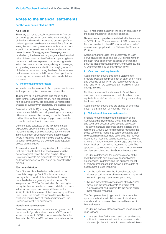### For the year ended 30 June 2021

#### As a lessor

The entity still has to classify leases as either finance or operating, depending on whether substantially all of the risk and rewards incidental to ownership of the underlying asset have been transferred. For a finance lease, the lessor recognises a receivable at an amount equal to the net investment in the lease which is the present value of the aggregate of lease payments receivable by the lessor and any unguaranteed residual value. If the contract is classified as an operating lease, the lessor continues to present the underlying assets. Initial direct costs incurred in negotiating and arranging an operating lease are added to the carrying amount of the leased asset and recognised over the lease term on the same basis as rental income. Contingent rents are recognised as revenue in the period in which they are earned.

### h. Income tax and other taxes

Income tax on the statement of comprehensive income for the year comprises current and deferred tax.

The income tax expense (Note 4) is based on the profit for the year adjusted for any non-assessable or non-deductible items. It is calculated using tax rates enacted or substantively enacted at the balance date.

Deferred tax (Note 12) is recognised using the balance sheet liability method, providing for temporary differences between the carrying amounts of assets and liabilities for financial reporting purposes and the amounts used for taxation purposes.

Deferred tax is calculated at the tax rates that are expected to apply to the period when the asset is realised or liability is settled. Deferred tax is credited in the Statement of Comprehensive Income except where it relates to items that may be credited directly to equity, in which case the deferred tax is adjusted directly against equity.

A deferred tax asset is recognised only to the extent that it is probable that future taxable profits will be available against which the asset can be utilised. Deferred tax assets are reduced to the extent that it is no longer probable that the related tax benefit will be realised.

#### Tax consolidation:

Bank First and its subsidiaries participate in a tax consolidation group. Bank First is liable for any tax payable on behalf of its subsidiaries. However, the subsidiaries are generally required under UIG Interpretation 1052 Tax Consolidation Accounting to recognise their income tax expense and deferred taxes in their annual report and to report the current tax liability to Bank First as a contribution of equity by Bank First. Bank First reports the income tax payable as additional contributions of equity and increases Bank First's investment in its subsidiaries.

### Goods and services tax:

Revenues, expenses and assets are recognised net of the amount of goods and services tax (GST), except where the amount of GST is not recoverable from the Australian Tax Office (ATO). In these circumstances the GST is recognised as part of the cost of acquisition of the asset or as part of an item of expense.

Receivables and payables are stated with the amount of GST included. The net amount of GST recoverable from, or payable to, the ATO is included as a part of receivables or payables in the Statement of Financial Position.

Cash flows are included in the Statement of Cash Flows on a gross basis and the GST components of the cash flows arising from investing and financing activities that are recoverable from, or payable to, the ATO are classified as operating cash flows.

### i. Cash and cash equivalents

Cash and cash equivalents in the Statement of Financial Position comprise cash at bank and in hand and deposits at call which are readily converted to cash and which are subject to an insignificant risk of change in value.

For the purposes of the statement of cash flows, cash and cash equivalents consist of cash and cash equivalents as defined above, net of any outstanding bank overdrafts.

Cash and cash equivalents are carried at amortised cost in the Statement of Financial Position.

### **i.** Valuation of financial instruments

Financial instruments represent the majority of the Consolidated Entity's balance sheet, including loans and advances, deposits, securities and derivatives. The carrying amount presented on the balance sheet reflects the Group's business model for managing the asset. Where that model is to collect contractual cash flows (such as with loans and advances), the financial instrument is measured at amortised cost. Conversely, where the financial instrument is managed on a fair value basis, that instrument will be measured as such. This approach presents relevant information about the nature and risks associated with the Group's balance sheet.

The Group determines the business model at the level that reflects how groups of financial assets are managed. In determining the business model, all relevant evidence that is available at the date of assessment is used including:

- how the performance of the financial assets held within that business model are evaluated and reported to the Group's key management personnel;
- the risks that affect the performance of the business model (and the financial assets held within that business model) and, in particular, the way in which those risks are managed.

The Group exercises judgement to determine the appropriate level at which to assess its business models and its business objectives with respect to financial assets.

The Group's basis of classification and measurement is as follows:

• Loans are classified at amortised cost as disclosed in Note 8: these are held within a business model whose objective is to collect contractual cash flows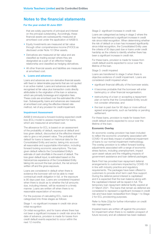### For the year ended 30 June 2021

that are solely payments of principal and interest on the principal outstanding. Accordingly, these financial assets are subsequently measured at amortised cost under the application of AASB 9.

- Equity Investments are measured at fair value through other comprehensive income (FVOCI) as disclosed under Note 10 Other assets.
- Derivatives are measured at fair value and are classified as trading except where they are designated as a part of an effective hedge relationship and classified as hedging derivatives.
- All other financial assets and liabilities are measured at amortised cost.

### k. Loans and advances

Loans and advances are non-derivative financial assets with fixed or determinable payments that are not quoted in an active market. Loans and advances are initially recognised at fair value plus transaction costs directly attributable to the origination of the loan or advance, which are primarily brokerage and origination fees. These costs are amortised over the estimated life of the loan. Subsequently, loans and advances are measured at amortised cost using the effective interest rate method, net of any provision for credit impairment.

### Impairment Assessment

AASB 9 introduced a forward-looking expected credit loss (ECL) model to assess impairment for loans, which are measured at amortised cost.

The allowance for ECL is based on an assessment of the probability of default, exposure at default and loss given default, discounted at the effective interest rate to give a net present value. The probability of default for loans is based on historical data for the Consolidated Entity and sector, taking into account all reasonable and supportable information, including forward looking economic assumptions. The loss given default reflects the Consolidated Entity's estimate of cash shortfalls in the event of default. The loss given default input, is estimated based on the historical loss experience of the Consolidated Entity taking into account the loan product, the net amount written off and the gross exposure.

Loans are considered in default when there is evidence the borrower will not be able to meet contractual credit obligation in full, or the exposure is 90 days past due. Loans are considered impaired when there is doubt as to whether the full amounts due, including interest, will be received in a timely manner. Loans are written off when there is no reasonable expectation of recovery.

For the purpose of calculating ECL, loans are categorised into three stages as follows:

Stage 1: no significant increase in credit risk since initial recognition

On initial recognition, and for loans where there has not been a significant increase in credit risk since the date of advance, provision is made for losses from credit default events expected to occur within the next 12 months.

Stage 2: significant increase in credit risk

Loans are categorised as being in stage 2 where the loan has experienced a significant increase in credit risk since initial recognition. When determining whether the risk of default on a loan has increased significantly since initial recognition, the Consolidated Entity uses the criteria of 30 days past due or loans under credit hardship as the criteria to identify whether there has been a significant increase in credit risk.

For these loans, provision is made for losses from credit default events expected to occur over the lifetime of the loan.

Stage 3: credit impaired

Loans are transferred to stage 3 when there is objective evidence of credit impairment. Loans are considered credit impaired when:

- significant financial difficulty of the borrower exists;
- it becomes probable that the borrower will enter bankruptcy or other financial reorganisation;
- restructuring of a loan or accepting a repayment plan on terms that the Consolidated Entity would not consider otherwise; and
- the loan is past due for 90 days or more without agreed arrangements, such as hardship or pending settlement.

For these loans, provision is made for losses from credit default events expected to occur over the lifetime of the loan.

### Economic Overlay

An economic overlay provision has been included to reflect the economic uncertainty associated with COVID-19 and likely impact of additional impairment of loans to our normal impairment methodology. The overlay provision is to reflect forward looking adjustments associated with a range of economic stress factors, including unemployment, impact upon asset values and the mitigating impacts of government assistance and loan deferral packages.

Bank First has provided loan repayment deferral arrangements to customers impacted by COVID-19 in line with industry practice and regulatory requirements. The packages have been offered to customers to provide short term cash flow support. During the deferral period interest is capitalised and it is expected that the loan balance along with the capitalised interest will be repaid in full. The temporary loan repayment deferral facility expired at 31 March 2021. The loans that remain as deferred are considered to represent a significant increase in credit risk and have been reclassified from Stage 1 to Stage 2 for ECL provisioning purposes.

Refer to Note 22(a) for further information on credit risk management.

Impaired loans are written off against the provision for impairment when there is no realistic prospect of future recovery and all collateral has been realised.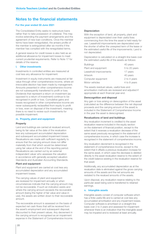### For the year ended 30 June 2021

The Consolidated Entity seeks to restructure loans rather than to take possession of collateral. This may involve extending the payment arrangements and the agreement of new loan conditions. Once the member terms have been renegotiated, the arrears profile of the member is extinguished after six months if the member has complied with the renegotiated terms.

A general reserve for credit losses is also held as an additional allowance for impairment losses to meet current prudential requirements. Refer to Note 17 for details of the reserve.

### l. Other investments

Investments in controlled entities are measured at cost less any allowance for impairment.

Investment in equity instruments are measured at fair value through other comprehensive income, where an irrevocable election has been made by management. Amounts presented in other comprehensive income are not subsequently transferred to profit or loss. Dividends that represent a return on investment (as opposed to a return of investment) continue to be recognised in profit or loss. Cumulative gains and losses recognised in other comprehensive income are never subsequently reclassified from equity to profit or loss, even on disposal of the investment, meaning there is no need to review such investments for possible impairment.

#### m. Property, plant and equipment

#### **Property**

Land and buildings are carried at revalued amount, being its fair value at the date of the revaluation less any subsequent accumulated depreciation and subsequent accumulated impairment losses. Revaluations are made with sufficient regularity to ensure that the carrying amount does not differ materially from that which would be determined using fair value at the end of the reporting period. Revaluations are carried out by an external independent valuer who assesses the valuation in accordance with generally accepted valuation Standards and Australian Accounting Standards.

#### Plant and equipment

Plant and equipment are carried at cost less any accumulated depreciation and any accumulated impairment losses.

The carrying values of plant and equipment are reviewed for impairment annually or when circumstances indicate that the carrying amount may not be recoverable. If such an indication exists and where the carrying amount exceeds the recoverable amount (being the higher of fair value and value in use), the assets are written down to their recoverable amount.

The recoverable amount is assessed on the basis of expected net cash flows that will be received from the asset's employment and subsequent disposal, discounted to their present values. Any decrement in the carrying amount is recognised as an impairment expense in the Statement of Comprehensive Income.

#### **Depreciation**

With the exception of land, all property, plant and equipment is depreciated over their useful lives commencing from the time the asset is held ready for use. Leasehold improvements are depreciated over the shorter of either the unexpired term of the lease or the estimated useful life of the improvements. Land is not depreciated.

Depreciation is calculated on a straight-line basis over the estimated useful life of the assets as follows:

| <b>Buildings</b>       | 40 years      |
|------------------------|---------------|
| Plant and equipment    | 5 to 20 years |
| Leasehold improvements | 17 years      |
| Artwork                | 40 years      |
| Computer equipment     | 2 to 4 years  |
| Motor vehicles         | 4 to 8 years  |

The assets residual values, useful lives and amortisation methods are reviewed and adjusted if appropriate at each financial year-end.

#### Derecognition and disposal

Any gain or loss arising on derecognition of the asset (calculated as the difference between the net disposal proceeds and the carrying amount of the asset) is included in the Statement of Comprehensive Income in the year the asset is derecognised.

### Revaluations of land and buildings

Any revaluation increment is credited to the asset revaluation reserve included in the equity section on the statement of financial position, except to the extent that it reverses a revaluation decrease of the same asset previously recognised in the statement of comprehensive income, in which case the increase is recognised in the statement of comprehensive income.

Any revaluation decrement is recognised in the statement of comprehensive income, except to the extent that it offsets a previous revaluation increase for the same asset, in which case the decrease is debited directly to the asset revaluation reserve to the extent of the credit balance existing in the revaluation reserve for that asset.

Additionally, any accumulated depreciation as at the revaluation date is eliminated against the gross carrying amounts of the assets and the net amounts are restated to the revalued amounts of the assets.

Upon disposal, any revaluation reserve relating to the particular asset being sold is transferred to retained earnings.

### n. Intangible assets

Intangible assets consist of computer software which has a finite useful life and is carried at cost less any accumulated amortisation and any impairment losses. Computer software is amortised on a straight-line basis over 2 to 3 years and assessed for impairment whenever there is an indication that the intangible asset may be impaired and is reviewed at least annually.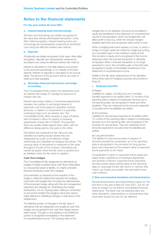### For the year ended 30 June 2021

#### o. Interest bearing loans and borrowings

All loans and borrowings are initially recognised at fair value less directly attributable transaction costs. After initial recognition, interest-bearing loans and borrowings are subsequently measured at amortised cost using the effective interest rate method.

### p. Deposits

All deposits are initially recognised at fair value. After initial recognition, deposits are subsequently measured at amortised cost using the effective interest rate method.

Interest is calculated on the daily balance and posted to the accounts periodically, or on maturity of the term deposit. Interest on deposits is calculated on an accrual basis. The amount of the accrual is shown as a part of trade and other payables.

#### q. Derivative financial instruments and hedge accounting

The Consolidated Entity enters into derivatives such as interest rate swaps to manage its exposure to interest rate risk.

Interest rate swaps relate to contractual agreements between two parties to exchange streams of payments over time based on specified notional amounts, in relation to movements in a specified underlying index such as interest rate. The Consolidated Entity either receives or pays a floating rate of interest in return for paying or receiving, respectively, a fixed rate of interest. The payment flows are usually netted against each other, with the difference being paid by one party to the other.

Derivatives are measured at fair value and are classified as trading except where they are designated as a part of an effective hedge relationship and classified as hedging derivatives. The carrying value of derivatives is measured at fair value throughout the life of the contract. Derivatives are carried as assets when the fair value is positive and as liabilities when the fair value is negative

#### Cash flow hedges

The Consolidated Entity designates its derivatives as hedges of highly probable future cash flows attributable to a recognised asset or liability, or a highly probable forecast transaction (cash flow hedges).

Documentation is prepared at the inception of the hedge to detail the relationship between the hedging instrument and hedged item including the effectiveness of the proposed hedge, along with the risk management objectives and strategy for undertaking the hedge transactions. On an ongoing basis, testing is conducted to document whether the hedging instrument used is highly effective in offsetting changes in cash flows of the hedged item.

The effective portion of changes in the fair value of derivatives that are designated and qualify as cash flow hedges are recognised in the cash flow hedge reserve within equity. The gain or loss relating to the ineffective portion is recognised immediately in the statement of comprehensive income. The carrying value of the

hedged item is not adjusted. Amounts accumulated in equity are transferred to the statement of comprehensive income in the period(s) in which the hedged item will affect profit or loss (e.g. when the forecast hedged variable cash flows are recognised within profit or loss).

When a hedging instrument expires or is sold, or when a hedge no longer meets the criteria for hedge accounting. any cumulative gain or loss existing in equity at that time remains in equity and is recognised in the income statement when the forecast transaction is ultimately recognised. When a forecast transaction is no longer expected to occur, the cumulative gain or loss that was recognised in equity is immediately transferred to the statement of comprehensive income.

Details of the fair value measurement of the derivative instruments used for hedging purposes are provided in Note 23.

### r. Employee benefits

#### (i) Wages

Liabilities for wages, including any non-monetary benefits expected to be settled within 12 months of the reporting date in respect of employees services up to the reporting date, are recognised in trade and other payables. They are measured at the amounts expected to be paid when the liabilities are settled.

#### (ii) Annual leave

Liabilities for annual leave expected to be settled within 12 months of the reporting date in respect of employees services up to the reporting date, are recognised in the provision for annual leave. They are measured at the amounts expected to be paid when the liabilities are settled.

#### (iii) Long service leave

The liability for long service leave in respect of services provided by employees up to the reporting date is recognised in the provision for long service leave and measured as the present value of expected future payments to be made.

Consideration is given to expected future wage and salary levels, experience of employee departures, and periods of service. Expected future payments are discounted using market yields at the reporting date on corporate bonds with terms to maturity that match, as closely as possible, the estimated future cash outflows.

#### 2. New and amended standards and interpretations

Several amendments and interpretations apply for the first time in the year ended 30 June 2021, but do not have an impact on the Bank's consolidated financial statements. The Bank has not adopted early any other standards, interpretations or amendments that have been issued but are not yet effective.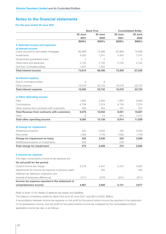### For the year ended 30 June 2021

|                                                      |            | <b>Bank First</b> | <b>Consolidated Entity</b> |              |
|------------------------------------------------------|------------|-------------------|----------------------------|--------------|
|                                                      | 30 June    | 30 June           | 30 June                    | 30 June      |
|                                                      | 2021       | 2020              | 2021                       | 2020         |
|                                                      | \$000's    | \$000's           | \$000's                    | \$000's      |
| 3. Selected income and expenses                      |            |                   |                            |              |
| a) Interest Income                                   |            |                   |                            |              |
| Loans secured by real estate mortgages               | 65,968     | 74,898            | 65,968                     | 74,898       |
| Investments                                          | 4,305      | 7,241             | 4,305                      | 7,241        |
| Government guaranteed loans                          | 1          | $\overline{2}$    | 1.                         | $\mathbf{2}$ |
| Other loans and advances                             | 3,135      | 5,102             | 3,135                      | 5,102        |
| Due from controlled entities                         | 1,201      | 1,253             |                            |              |
| <b>Total interest income</b>                         | 74,610     | 88,496            | 73,409                     | 87,243       |
| b) Interest expense                                  |            |                   |                            |              |
| Due to controlled entities                           | 4          | 9                 |                            |              |
| Other persons                                        | 16,578     | 33,723            | 16,578                     | 33,723       |
| <b>Total interest expense</b>                        | 16,582     | 33,732            | 16,578                     | 33,723       |
| c) Other Operating income                            |            |                   |                            |              |
| Fees                                                 | 1,855      | 2,626             | 1,855                      | 2,626        |
| Commissions                                          | 6,759      | 7.074             | 6,759                      | 7,074        |
| Other revenue from contracts with customers          | 465        | 354               | 437                        | 327          |
| <b>Total Revenue from contracts with customers</b>   |            |                   |                            |              |
|                                                      | 9,079<br>6 | 10,054<br>74      | 9,051<br>863               | 10,027       |
| Other                                                |            |                   |                            | 1,012        |
| <b>Total other operating income</b>                  | 9,085      | 10,128            | 9,914                      | 11,039       |
| d) Charge for impairment                             |            |                   |                            |              |
| Additional provisions                                | 425        | 3,052             | 425                        | 3,052        |
| Recoveries                                           | (193)      | (116)             | (193)                      | (116)        |
| <b>Charge for impairment on loans</b>                | 232        | 2,936             | 232                        | 2,936        |
| Additional provisions on Investments                 | 238        |                   | 238                        |              |
| <b>Total charge for impairment</b>                   | 470        | 2,936             | 470                        | 2,936        |
| 4. Income tax expense                                |            |                   |                            |              |
| The major components of income tax expense are:      |            |                   |                            |              |
| On net profit for the period:                        |            |                   |                            |              |
| Current income tax charge                            |            | 4,447             |                            |              |
|                                                      | 5,278      |                   | 5,372                      | 4,630        |
| Adjustments for income tax expense of previous years |            | (42)              |                            | (42)         |
| Deferred tax relating to origination and             |            |                   |                            |              |
| reversal of temporary differences                    | (311)      | (579)             | (241)                      | (611)        |
| Income tax expense reported in the statement of      |            |                   |                            |              |
| comprehensive income                                 | 4,967      | 3,826             | 5,131                      | 3,977        |

Refer to Note 12 for details of deferred tax assets and liabilities.

The balance of franking credits for Bank First as at 30 June 2021 was \$91m (2020: \$86m).

A reconciliation between income tax expense on net profit for the period before income tax reported in the statement of comprehensive income, and net profit for the period before income tax multiplied by the Consolidated Entity's applicable income tax rate, is as follows: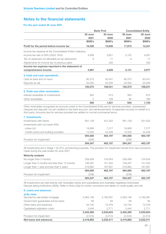### For the year ended 30 June 2021

|                                                           | <b>Bank First</b> |         |         | <b>Consolidated Entity</b> |
|-----------------------------------------------------------|-------------------|---------|---------|----------------------------|
|                                                           | 30 June           | 30 June | 30 June | 30 June                    |
|                                                           | 2021              | 2020    | 2021    | 2020                       |
|                                                           | \$000's           | \$000's | \$000's | \$000's                    |
| Profit for the period before income tax                   | 16,526            | 12,836  | 17,073  | 13,341                     |
| Income tax expense at the Consolidated Entity's statutory |                   |         |         |                            |
| income tax rate of 30% (2020: 30%)                        | 4,958             | 3,851   | 5,122   | 4,001                      |
| Tax on expenses not allowable as tax deductions           | 9                 | 17      | 9       | 17                         |
| Adjustments for income tax of previous years              |                   | (42)    |         | (42)                       |
| Income tax expense reported in the statement of           |                   |         |         |                            |
| comprehensive income                                      | 4,967             | 3,826   | 5,131   | 3,977                      |
| 5. Cash and cash equivalents                              |                   |         |         |                            |
| Cash at bank and on hand                                  | 95,373            | 83,541  | 95,373  | 83,541                     |
| Deposits at call                                          | 25,000            | 25,000  | 25,000  | 25,000                     |
|                                                           | 120,373           | 108,541 | 120,373 | 108,541                    |
| 6. Trade and other receivables                            |                   |         |         |                            |
| Interest receivable on investments                        | 563               | 913     | 563     | 913                        |
| Other receivables                                         | 2                 | 108     | 82      | 190                        |
|                                                           | 565               | 1,021   | 645     | 1,103                      |

Other receivables recognised as amounts owed to the Consolidated Entity are for services provided, unpresented cheques and deposits not yet credited to the bank account, and reimbursements of expenses incurred on behalf of a third party. Amounts due for services provided are settled on normal commercial terms.

| 7. Investments                         |         |         |         |         |
|----------------------------------------|---------|---------|---------|---------|
| Investments with banks                 | 561.129 | 431.552 | 561.129 | 431.552 |
| Investments with non-bank ADIs         |         |         |         |         |
| - Indue Ltd                            | 19,956  | 7.217   | 19,956  | 7.217   |
| - Credit unions and building societies | 13,500  | 24.428  | 13,500  | 24,428  |
|                                        | 594,585 | 463.197 | 594,585 | 463,197 |
| Provision for impairment               | (238)   |         | (238)   |         |
|                                        | 594.347 | 463.197 | 594.347 | 463,197 |

All investments are in Stage 1 for ECL provisioning purposes. The provision for impairment results from new provisions made during the year ended 30 June 2021.

| 594.347 | 463.197 | 594.347 | 463.197 |
|---------|---------|---------|---------|
| (238)   |         | (238)   |         |
| 594,585 | 463.197 | 594,585 | 463,197 |
| 218,882 | 187.691 | 218,882 | 187,691 |
| 136.297 | 151.452 | 136.297 | 151,452 |
| 239,406 | 124.054 | 239,406 | 124.054 |
|         |         |         |         |
|         |         |         |         |

All investments are held directly with Australian banks and subsidiaries and Australian registered Authorised Deposit-taking Institutions (ADIs). Refer to Note 22(a) for further comments and tables on credit quality and risk.

8. Loans and advances

| Net loans and advances             | 2,419,862 | 2,232,311 | 2,419,862 | 2,232,311 |
|------------------------------------|-----------|-----------|-----------|-----------|
| Provision for impairment           | (2,533)   | (3,313)   | (2,533)   | (3,313)   |
|                                    | 2,422,395 | 2,235,624 | 2.422.395 | 2,235,624 |
| Capitalised origination costs      | 3.444     | 2.771     | 3.444     | 2.771     |
| Other loans and advances           | 54.745    | 72.378    | 54.745    | 72,378    |
| Government guaranteed school loans | 60        | 84        | 60        | 84        |
| Secured by real estate mortgage    | 2,364,146 | 2.160.391 | 2,364,146 | 2,160,391 |
| a) By class                        |           |           |           |           |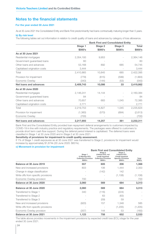### For the year ended 30 June 2021

As at 30 June 2021 the Consolidated Entity and Bank First predominantly had loans contractually maturing longer than 5 years.

### b) By risk level

The following tables set out information in relation to credit quality of loans and advances by category of loss allowance.

|                               | <b>Bank First and Consolidated Entity</b> |         |         |           |  |
|-------------------------------|-------------------------------------------|---------|---------|-----------|--|
|                               | Stage 1                                   | Stage 2 | Stage 3 | Total     |  |
|                               | \$000's                                   | \$000's | \$000's | \$000's   |  |
| As at 30 June 2021            |                                           |         |         |           |  |
| Residential mortgages         | 2,354,193                                 | 9,953   |         | 2,364,146 |  |
| Government guaranteed loans   | 60                                        |         |         | 60        |  |
| Other loans and advances      | 53,168                                    | 892     | 685     | 54,745    |  |
| Capitalised origination costs | 3,444                                     |         |         | 3,444     |  |
| Total                         | 2,410,865                                 | 10,845  | 685     | 2,422,395 |  |
| Provision for impairment      | (779)                                     | (615)   | (599)   | (1,993)   |  |
| Economic Overlay              | (343)                                     | (144)   | (53)    | (540)     |  |
| Net loans and advances        | 2,409,743                                 | 10,086  | 33      | 2,419,862 |  |
| As at 30 June 2020            |                                           |         |         |           |  |
| Residential mortgages         | 2,146,241                                 | 14,144  |         | 2,160,384 |  |
| Government guaranteed loans   | 84                                        |         |         | 84        |  |
| Other loans and advances      | 70,657                                    | 683     | 1,045   | 72,385    |  |
| Capitalised origination costs | 2,771                                     |         |         | 2,771     |  |
| Total                         | 2,219,753                                 | 14,827  | 1,045   | 2,235,624 |  |
| Provision for impairment      | (1,360)                                   | (570)   | (684)   | (2, 613)  |  |
| Economic Overlay              | (700)                                     |         |         | (700)     |  |
| Net loans and advances        | 2,217,693                                 | 14,257  | 361     | 2,232,311 |  |

Bank First and the Consolidated Entity provided loan repayment deferral arrangements to customers impacted by COVID-19 in line with industry practice and regulatory requirements. The packages were offered to customers to provide short term cash flow support. During the deferral period interest is capitalised. The deferred loans were classified in Stage 1 at 30 June 2020 and in Stage 2 at 30 June 2021.

### Sensitivity of provisions for impairment to credit quality assessment.

If 1% of Stage 1 credit exposures as at 30 June 2021 was transferred to Stage 2, provisions for impairment would increase by approximately \$1,674k (30 June 2020: \$831k).

### c) Movement in provision for impairment

|                                     | <b>Bank First and Consolidated Entity</b>                                 |                                                                                                 |                                                                                                  |                  |  |
|-------------------------------------|---------------------------------------------------------------------------|-------------------------------------------------------------------------------------------------|--------------------------------------------------------------------------------------------------|------------------|--|
|                                     | Stage 1<br><b>12 Months ECL</b><br><b>Collective Provision</b><br>\$000's | Stage 2<br><b>Lifetime ECL not</b><br>credit impaired<br><b>Collective Provision</b><br>\$000's | Stage 3<br><b>Lifetime ECL</b><br><b>Credit Impaired</b><br><b>Specific Provision</b><br>\$000's | Total<br>\$000's |  |
| Balance at 30 June 2019             | 557                                                                       | 605                                                                                             | 206                                                                                              | 1,368            |  |
| New and increased provisions        | 803                                                                       | 106                                                                                             | 1,444                                                                                            | 2,353            |  |
| Change in stage classification      |                                                                           | (142)                                                                                           | 142                                                                                              |                  |  |
| Write offs from specific provisions |                                                                           |                                                                                                 | (1, 108)                                                                                         | (1,108)          |  |
| Economic Overlay provision          | 700                                                                       |                                                                                                 |                                                                                                  | 700              |  |
| Balance at 30 June 2020             | 2,060                                                                     | 569                                                                                             | 684                                                                                              | 3,313            |  |
| Balance at 30 June 2020             | 2,060                                                                     | 569                                                                                             | 684                                                                                              | 3,313            |  |
| Transferred to Stage 1              | 340                                                                       | (116)                                                                                           | (224)                                                                                            |                  |  |
| Transferred to Stage 2              |                                                                           | 63                                                                                              | (63)                                                                                             |                  |  |
| Transferred to Stage 3              |                                                                           | (59)                                                                                            | 59                                                                                               |                  |  |
| New and increased provisions        | (920)                                                                     | 157                                                                                             | 1,348                                                                                            | 585              |  |
| Write offs from specific provisions |                                                                           |                                                                                                 | (1,205)                                                                                          | (1,205)          |  |
| Economic Overlay provision          | (357)                                                                     | 144                                                                                             | 53                                                                                               | (160)            |  |
| Balance at 30 June 2021             | 1,123                                                                     | 758                                                                                             | 652                                                                                              | 2,533            |  |

The table above provides movements in the impairment provisions by expected credit loss (ECL) stage for the year ended 30 June 2021.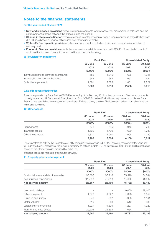### For the year ended 30 June 2021

- New and increased provisions reflect provision movements for new accounts, movements in balances and the net movement of loans between the stages during the period;
- Change in stage classification reflects a change in categorisation of certain loan products as stage 3 when past due 90 days based on review of historical loss information available;
- Write-offs from specific provisions reflects accounts written off when there is no reasonable expectation of recovery; and
- Economic Overlay provision reflects the economic uncertainty associated with COVID-19 and likely impact of additional impairment of loans to our normal impairment methodology.

### d) Provision for impairment

|                                            | <b>Bank First</b> |         | <b>Consolidated Entity</b> |         |
|--------------------------------------------|-------------------|---------|----------------------------|---------|
|                                            | 30 June           | 30 June | 30 June                    | 30 June |
|                                            | 2021              | 2020    | 2021                       | 2020    |
|                                            | \$000's           | \$000's | \$000's                    | \$000's |
| Individual balances identified as impaired | 685               | 1.045   | 685                        | 1.045   |
| Individual impairment on the above         | 652               | 684     | 652                        | 684     |
| Collective impairment                      | 1,881             | 2,629   | 1.881                      | 2,629   |
|                                            | 2.533             | 3,313   | 2.533                      | 3,313   |

### 9. Due from controlled entities

A loan was provided by Bank First to VTMB Properties Pty Ltd in February 2013 for the purchase and fit out of a commercial property located at 117 Camberwell Road, Hawthorn East. VTMB Properties Pty Ltd is a wholly owned subsidiary of Bank First and was established to manage the Consolidated Entity's property portfolio. The loan was made on normal commercial terms and conditions.

### 10. Other assets

|                   |         | <b>Bank First</b> |         | <b>Consolidated Entity</b> |  |
|-------------------|---------|-------------------|---------|----------------------------|--|
|                   | 30 June | 30 June           | 30 June | 30 June                    |  |
|                   | 2021    | 2020              | 2021    | 2020                       |  |
|                   | \$000's | \$000's           | \$000's | \$000's                    |  |
| Prepayments       | 778     | 645               | 943     | 748                        |  |
| Intangible assets | 1,620   | 1,739             | 1,620   | 1,739                      |  |
| Other investments | 5.310   | 4.940             | 1.605   | 1,330                      |  |
|                   | 7.708   | 7.324             | 4.168   | 3.817                      |  |

Other Investments held by the Consolidated Entity comprise investments in Indue Ltd. These are measured at fair value and fall under the Level 2 category of the fair value hierarchy as defined in Note 23. The fair value of \$399 (2020: \$381) per share is based on the internal valuation provided by Indue Ltd.

Intangible assets are made up of computer software.

### 11. Property, plant and equipment

|                                           | <b>Bank First</b> |                 | <b>Consolidated Entity</b> |                 |
|-------------------------------------------|-------------------|-----------------|----------------------------|-----------------|
|                                           | 30 June<br>2021   | 30 June<br>2020 | 30 June<br>2021            | 30 June<br>2020 |
|                                           | \$000's           | \$000's         | \$000's                    | \$000's         |
| Cost or fair value at date of revaluation | 35,300            | 35,218          | 55,526                     | 54,844          |
| Accumulated depreciation                  | (11, 733)         | (8, 728)        | (9, 794)                   | (8,655)         |
| Net carrying amount                       | 23,567            | 26,490          | 45,732                     | 46,189          |
| Land and buildings                        |                   |                 | 40,000                     | 39,400          |
| Office equipment                          | 1,376             | 1,627           | 1,396                      | 1,659           |
| Furniture and fittings                    | 240               | 252             | 936                        | 1,141           |
| Motor vehicles                            | 519               | 888             | 519                        | 888             |
| Leasehold improvements                    | 1,227             | 1,329           | 1,227                      | 1,329           |
| Right-of-use lease assets                 | 20,205            | 22,394          | 1.654                      | 1,772           |
| Net carrying amount                       | 23,567            | 26,490          | 45,732                     | 46,189          |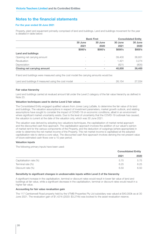### For the year ended 30 June 2021

Property, plant and equipment primarily comprised of land and buildings. Land and buildings movement for the year is detailed in table below:

|                             | <b>Bank First</b>        |                          | <b>Consolidated Entity</b> |         |
|-----------------------------|--------------------------|--------------------------|----------------------------|---------|
|                             | 30 June                  | 30 June                  | 30 June                    | 30 June |
|                             | 2021                     | 2020                     | 2021                       | 2020    |
|                             | \$000's                  | \$000's                  | \$000's                    | \$000's |
| <b>Land and buildings</b>   |                          |                          |                            |         |
| Opening net carrying amount | $\overline{\phantom{a}}$ | $\overline{\phantom{a}}$ | 39,400                     | 36,931  |
| Revaluation                 | $\overline{\phantom{a}}$ | $\overline{\phantom{a}}$ | 1,421                      | 3,274   |
| Depreciation                | $\overline{\phantom{a}}$ |                          | (821)                      | (805)   |
| Closing net carrying amount | -                        | ۰                        | 40,000                     | 39,400  |

If land and buildings were measured using the cost model the carrying amounts would be:

| Land and buildings if measured using the cost model |  | 26.154 | 27.034 |
|-----------------------------------------------------|--|--------|--------|
|                                                     |  |        |        |

### Fair value hierarchy

Land and buildings carried at revalued amount fall under the Level 2 category of the fair value hierarchy as defined in Note 23.

### Valuation techniques used to derive Level 2 fair values

The Consolidated Entity engaged qualified valuers from Jones Lang LaSalle, to determine the fair value of its land and buildings. The valuation assumptions in respect of investment parameters, market growth outlook, and relating assumptions have sought to consider the impact of COVID-19 on economic conditions, albeit in an environment where significant market uncertainty exists. Due to the level of uncertainty that the COVID-19 outbreak has caused, the valuation is current at the date of the valuation only, which was 30 June 2021.

The valuation was derived by adopting two valuations techniques, the capitalisation of market rental approach and the discounted cash flow approach. The capitalisation approach involves the addition of our valuer's opinion of market rent for the various components of the Property, and the deduction of outgoings (where appropriate) in order to determine the net market income of the Property. This net market income is capitalised at the adopted capitalisation rate to derive a core value. The discounted cash flow approach involves deriving the net present value of future estimated cash flows over a 10 year period.

### Valuation inputs

The following primary inputs have been used:

|                         |      | <b>Consolidated Entity</b> |  |
|-------------------------|------|----------------------------|--|
|                         | 2021 | 2020                       |  |
| Capitalisation rate (%) | 5.75 | 5.75                       |  |
| Terminal rate (%)       | 6.25 | 6.25                       |  |
| Discount rate $(\%)$    | 6.50 | 6.50                       |  |

### Sensitivity to significant changes in unobservable inputs within Level 2 of the hierarchy

A significant increase in the capitalisation, terminal or discount rates would result in lower fair value of land and buildings at fair value, while a significant decrease in the capitalisation, terminal or discount rates would result in a higher fair value.

### Accounting for fair value revaluation gain

The 117 Camberwell Road property held by the VTMB Properties Pty Ltd subsidiary was valued at \$40,000k as at 30 June 2021. The revaluation gain of \$1,421k (2020: \$3,274k) was booked to the asset revaluation reserve.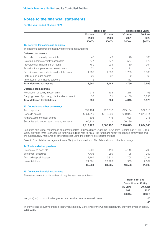### For the year ended 30 June 2021

|                                                              |           | <b>Bank First</b> | <b>Consolidated Entity</b> |           |
|--------------------------------------------------------------|-----------|-------------------|----------------------------|-----------|
|                                                              | 30 June   | 30 June           | 30 June                    | 30 June   |
|                                                              | 2021      | 2020              | 2021                       | 2020      |
|                                                              | \$000's   | \$000's           | \$000's                    | \$000's   |
| 12. Deferred tax assets and liabilities                      |           |                   |                            |           |
| The balance comprises temporary differences attributable to: |           |                   |                            |           |
| Deferred tax assets                                          |           |                   |                            |           |
| Accruals not currently deductible                            | 47        | 49                | 146                        | 136       |
| Deferred Income currently assessable                         | 577       | 577               | 577                        | 577       |
| Provisions for impairment on loans                           | 760       | 994               | 760                        | 994       |
| Provision for impairment on investments                      | 71        |                   | 71                         |           |
| Provisions and accruals for staff entitlements               | 1,703     | 1,800             | 1.703                      | 1,800     |
| Right-of-use lease assets                                    | 90        | 62                | 90                         | 62        |
| Amortisation of in-house software                            | 412       |                   | 412                        |           |
| <b>Total deferred tax assets</b>                             | 3,660     | 3,482             | 3,759                      | 3,569     |
| <b>Deferred tax liabilities</b>                              |           |                   |                            |           |
| Revaluation of equity investments                            | 215       | 193               | 215                        | 193       |
| Carrying value of property, plant and equipment              | 36        | 71                | 4,130                      | 3,736     |
| <b>Total deferred tax liabilities</b>                        | 251       | 264               | 4,345                      | 3,929     |
| 13. Deposits and other borrowings                            |           |                   |                            |           |
| Term deposits                                                | 899,164   | 927,816           | 899,164                    | 927,816   |
| Deposits on call                                             | 1,951,719 | 1,676,900         | 1,950,044                  | 1,675,811 |
| Withdrawable member shares                                   | 698       | 716               | 698                        | 716       |
| Securities sold under repurchase agreements                  | 66,139    |                   | 66.139                     |           |
|                                                              | 2,917,720 | 2,605,432         | 2,916,045                  | 2,604,343 |

Securities sold under repurchase agreements relate to funds drawn under the RBA's Term Funding Facility (TFF). The facility provides three-year secured funding at a fixed rate to ADIs. The funds are initially recognised at fair value and are subsequently measured at amortised cost using the effective interest rate method.

Refer to financial risk management Note 22(c) for the maturity profile of deposits and other borrowings.

| <b>14. Trade and other payables</b> |        |        |        |        |
|-------------------------------------|--------|--------|--------|--------|
| Creditors and accruals              | 3.703  | 3.410  | 4.115  | 3.796  |
| Settlement accounts                 | 7.705  | 259    | 7.705  | 259    |
| Accrued deposit interest            | 2.765  | 5.331  | 2.765  | 5.331  |
| Lease liabilities                   | 21.061 | 22,925 | 1.953  | 2,009  |
|                                     | 35,234 | 31.925 | 16,538 | 11,395 |

### 15. Derivative financial instruments

The net movement on derivatives during the year was as follows:

|                                                                            | <b>Bank First and</b>      |         |
|----------------------------------------------------------------------------|----------------------------|---------|
|                                                                            | <b>Consolidated Entity</b> |         |
|                                                                            | 30 June                    | 30 June |
|                                                                            | 2021                       | 2020    |
|                                                                            | \$000's                    | \$000's |
| Net gain/(loss) on cash flow hedges reported in other comprehensive income | $\overline{\phantom{a}}$   | 48      |
|                                                                            | ۰                          | 48      |

There were no derivative financial instruments held by Bank First or the Consolidated Entity during the year ended 30 June 2021.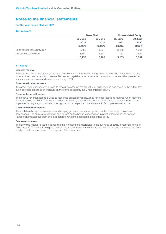### For the year ended 30 June 2021

### 16. Provisions

|                              | <b>Bank First</b> |         | <b>Consolidated Entity</b> |         |
|------------------------------|-------------------|---------|----------------------------|---------|
|                              | 30 June           | 30 June | 30 June                    | 30 June |
|                              | 2021              | 2020    | 2021                       | 2020    |
|                              | \$000's           | \$000's | \$000's                    | \$000's |
| Long service leave provision | 3.488             | 4.091   | 3.488                      | 4,091   |
| Annual leave provision       | 1.767             | 1.691   | 1.767                      | 1,691   |
|                              | 5,255             | 5.782   | 5,255                      | 5,782   |

### 17. Equity

#### General reserve

The balance of retained profits at the end of each year is transferred to the general reserve. The general reserve also includes the share redemption reserve. Redeemed capital reserve represents the amount of redeemable preference shares (member shares) redeemed since 1 July 1999.

### Asset revaluation reserve

The asset revaluation reserve is used to record increases in the fair value of buildings and decreases to the extent that such decreases relate to an increase on the same asset previously recognised in equity.

#### Reserve for credit losses

The reserve for credit losses is used to recognise an additional allowance for credit losses as required when reporting financial results to APRA. This reserve is not permitted by Australian Accounting Standards to be recognised as an impairment charge against assets or recognised as an expense in the statement of comprehensive income.

### Cash flow hedge reserve

The cash flow hedge reserve represents hedging gains and losses recognised on the effective portion of cash flow hedges. The cumulative deferred gain or loss on the hedge is recognised in profit or loss when the hedged transaction impacts the profit and loss consistent with the applicable accounting policy.

#### Fair value reserve

The fair value reserve is used to recognise the increases and decreases in the fair value of equity investments (held in Other assets). The cumulative gains and/or losses recognised in the reserve are never subsequently reclassified from equity to profit or loss even on the disposal of the investment.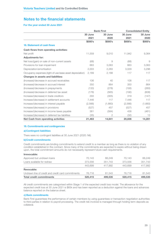### For the year ended 30 June 2021

|                                                            | <b>Bank First</b> |         | <b>Consolidated Entity</b> |         |
|------------------------------------------------------------|-------------------|---------|----------------------------|---------|
|                                                            | 30 June           | 30 June | 30 June                    | 30 June |
|                                                            | 2021              | 2020    | 2021                       | 2020    |
|                                                            | \$000's           | \$000's | \$000's                    | \$000's |
| 18. Statement of cash flows                                |                   |         |                            |         |
| <b>Cash flows from operating activities:</b>               |                   |         |                            |         |
| Net profit                                                 | 11,559            | 9,010   | 11,942                     | 9,364   |
| <b>Adjustments for:</b>                                    |                   |         |                            |         |
| Net loss/(gain) on sale of non-current assets              | (68)              | 9       | (68)                       | 9       |
| Provisions for loan impairment                             | 663               | 3,063   | 663                        | 3,063   |
| Depreciation/amortisation                                  | 2,003             | 2,283   | 3,029                      | 3,296   |
| Occupancy expenses (right-of-use lease asset depreciation) | 2,189             | 2,188   | 117                        | 117     |
| <b>Changes in assets and liabilities:</b>                  |                   |         |                            |         |
| (Increase)/decrease in accrued receivables                 | 106               | 40      | 108                        | 117     |
| (Increase)/decrease in accrued interest                    | 350               | 864     | 350                        | 864     |
| (Increase)/decrease in prepayments                         | (133)             | (278)   | (193)                      | (260)   |
| (Increase)/decrease in deferred tax asset                  | (178)             | (565)   | (190)                      | (608)   |
| Increase/(decrease) in trade creditors                     | 293               | (305)   | 319                        | (147)   |
| Increase/(decrease) in settlement accounts                 | 7,446             | 117     | 7,446                      | 117     |
| Increase/(decrease) in interest payable                    | (2,566)           | (1,660) | (2,566)                    | (1,660) |
| Increase/(decrease) in provisions                          | (527)             | 457     | (527)                      | 457     |
| Increase/(decrease) in income taxes payable                | 361               | (584)   | 438                        | (461)   |
| Increase/(decrease) in deferred tax liabilities            | (35)              | 2       | (32)                       | 13      |
| Net Cash from operating activities                         | 21,463            | 14,641  | 20,836                     | 14,281  |

### 19. Commitments and contingencies

### a) Contingent liabilities

There were no contingent liabilities at 30 June 2021 (2020: Nil).

### b)Credit commitments

Credit commitments are binding commitments to extend credit to a member as long as there is no violation of any condition established in the contract. Since many of the commitments are expected to expire without being drawn upon, the total commitment amounts do not necessarily represent future cash requirements.

### Irrevocable:

| <b>Total credit commitments</b>                    | 520,415 | 499,535 | 520,415 | 499,535 |
|----------------------------------------------------|---------|---------|---------|---------|
| Undrawn line of credit and credit card commitments | 76.716  | 81.543  | 76.716  | 81.543  |
|                                                    |         |         |         |         |
| Revocable:                                         |         |         |         |         |
|                                                    | 443.699 | 417.992 | 443.699 | 417,992 |
| Loans available for redraw                         | 373,556 | 351.743 | 373,556 | 351.743 |
| Approved but undrawn loans                         | 70.143  | 66,249  | 70.143  | 66,249  |
|                                                    |         |         |         |         |

All credit commitments are categorised within Stage 1 of the expected credit loss model. The allowance for the expected credit loss at 30 June 2021 is \$65k and has been reported as a deduction against the loans and advances balance reported on the balance sheet.

### c) Bank commitments

Bank First guarantees the performance of certain members by using guarantees or transaction negotiation authorities to third parties in relation to payroll processing. The credit risk involved is managed through holding term deposits as collateral.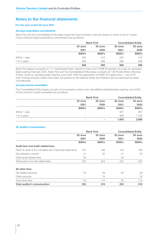### For the year ended 30 June 2021

#### d)Lease expenditure commitments

Bank First and the Consolidated Entity lease equipment and business continuity space on terms of up to 5 years. Future minimum lease expenditure commitments are as follows:

|               |         | <b>Bank First</b> |         | <b>Consolidated Entity</b> |  |
|---------------|---------|-------------------|---------|----------------------------|--|
|               | 30 June | 30 June           | 30 June | 30 June                    |  |
|               | 2021    | 2020              | 2021    | 2020                       |  |
|               | \$000's | \$000's           | \$000's | \$000's                    |  |
| Within 1 year | 322     | 412               | 322     | 412                        |  |
| 1 to 5 years  | 286     | 568               | 286     | 568                        |  |
|               | 608     | 980               | 608     | 980                        |  |

Bank First leases a property at 117 Camberwell Road, Hawthorn East, from VTMB Properties Ltd under an operating lease expiring February 2023. Bank First and the Consolidated Entity lease a property at 126 Puckle Street, Moonee Ponds, under an operating lease expiring June 2035. With the application of AASB 16 Leases from 1 July 2019 both of these property leases have been recognised on the balance sheet and therefore are not disclosed as lease commitments.

### e) Lease income receivables

The Consolidated Entity leases out part of one property under a non-cancellable operating lease expiring June 2023. Future minimum rental receivables are as follows:

|               |                          | <b>Bank First</b>        |         | <b>Consolidated Entity</b> |  |
|---------------|--------------------------|--------------------------|---------|----------------------------|--|
|               | 30 June                  | 30 June                  | 30 June | 30 June                    |  |
|               | 2021                     | 2020                     | 2021    | 2020                       |  |
|               | \$000's                  | \$000's                  | \$000's | \$000's                    |  |
| Within 1 year | $\overline{\phantom{a}}$ | $\overline{\phantom{a}}$ | 897     | 887                        |  |
| 1 to 5 years  | $\overline{\phantom{a}}$ | $\overline{\phantom{a}}$ | 906     | 1,782                      |  |
|               |                          | ۰                        | 1,803   | 2,669                      |  |

### 20. Auditor's remuneration

|                                                            | <b>Bank First</b> |                          | <b>Consolidated Entity</b> |         |
|------------------------------------------------------------|-------------------|--------------------------|----------------------------|---------|
|                                                            | 30 June           | 30 June                  | 30 June                    | 30 June |
|                                                            | 2021              | 2020                     | 2021                       | 2020    |
|                                                            | \$000's           | \$000's                  | \$000's                    | \$000's |
| Audit fees and audit related fees                          |                   |                          |                            |         |
| Fees for audit of the complete set of financial statements | 153               | 169                      | 153                        | 169     |
| Securitisation reviews                                     | 31                | 35                       | 31                         | 35      |
| Other audit related fees                                   | 39                | $\overline{\phantom{a}}$ | 39                         |         |
| Total audit and audit related fees                         | 223               | 204                      | 223                        | 204     |
| All other fees                                             |                   |                          |                            |         |
| Tax related services                                       | 30                | 39                       | 30                         | 39      |
| Other services                                             |                   | 76                       |                            | 76      |
| Total other fees                                           | 30                | 115                      | 30                         | 115     |
| <b>Total auditor's remuneration</b>                        | 253               | 319                      | 253                        | 319     |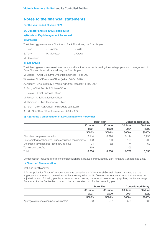### For the year ended 30 June 2021

### 21. Director and executive disclosures

### a) Details of Key Management Personnel

### (i) Directors

The following persons were Directors of Bank First during the financial year:

B. Lloyd J. Dawson G. Willis

S. Terry M. Monester J. Crowe

M. Devadason

### (ii) Executives

The following executives were those persons with authority for implementing the strategic plan, and management of Bank First and its subsidiaries during the financial year:

M. Bagnall - Chief Executive Officer (commenced 1 Feb 2021)

W. Wolke - Chief Executive Officer (retired 30 Oct 2020)

A. Alsbury - Chief Strategy & Marketing Officer (ceased 14 May 2021)

G. Borg - Chief People & Culture Officer

D. Percival - Chief Financial Officer

- M. Ricker Chief Distribution Officer
- M. Thomson Chief Technology Officer

E. Torelli - Chief Risk Officer (resigned 22 Jan 2021)

A. Hill - Chief Risk Officer (commenced 28 Jun 2021)

### b) Aggregate Compensation of Key Management Personnel

|                                                         | <b>Bank First</b> |         | <b>Consolidated Entity</b> |         |
|---------------------------------------------------------|-------------------|---------|----------------------------|---------|
|                                                         | 30 June           | 30 June | 30 June                    | 30 June |
|                                                         | 2021              | 2020    | 2021                       | 2020    |
|                                                         | \$000's           | \$000's | \$000's                    | \$000's |
| Short-term employee benefits                            | 3.114             | 3.296   | 3.114                      | 3,296   |
| Post-employment benefits - superannuation contributions | 193               | 200     | 193                        | 200     |
| Other long-term benefits - long service leave           | 74                | 62      | 74                         | 62      |
| Termination benefits                                    | 369               |         | 369                        |         |
| Total                                                   | 3,750             | 3.558   | 3.750                      | 3,558   |

Compensation includes all forms of consideration paid, payable or provided by Bank First and Consolidated Entity.

### c) Directors' Remuneration

(included in 21b above)

A formal policy for Directors' remuneration was passed at the 2018 Annual General Meeting. It stated that the aggregate maximum sum determined at that meeting to be paid to Directors as remuneration for their services be adjusted for each following year by an amount not exceeding the amount determined by applying the Annual Wage Price Index for the September quarter to the remuneration paid for the preceding year.

|                                          | <b>Bank First</b> |         | <b>Consolidated Entity</b> |         |
|------------------------------------------|-------------------|---------|----------------------------|---------|
|                                          | 30 June           | 30 June | 30 June                    | 30 June |
|                                          | 2021              | 2020    | 2021                       | 2020    |
|                                          | \$000's           | \$000's | \$000's                    | \$000's |
| Aggregate remuneration paid to Directors | 588               | 537     | 588                        | 537     |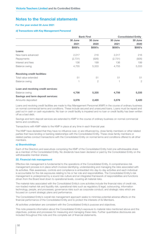### For the year ended 30 June 2021

#### d) Transactions with Key Management Personnel

|                                     |         | <b>Bank First</b> | <b>Consolidated Entity</b> |                |
|-------------------------------------|---------|-------------------|----------------------------|----------------|
|                                     | 30 June | 30 June           | 30 June                    | 30 June        |
|                                     | 2021    | 2020              | 2021                       | 2020           |
|                                     | \$000's | \$000's           | \$000's                    | \$000's        |
| Loans:                              |         |                   |                            |                |
| New loans advanced                  | 2,017   | 216               | 2,017                      | 216            |
| Repayments                          | (2,731) | (926)             | (2,731)                    | (926)          |
| Interest and fees                   | 136     | 199               | 136                        | 199            |
| Balance owing                       | 4,755   | 5,333             | 4,755                      | 5,333          |
| <b>Revolving credit facilities:</b> |         |                   |                            |                |
| Total value extended                | 51      | 51                | 51                         | 51             |
| Balance owing                       |         | $\overline{2}$    |                            | $\overline{2}$ |
| Loan and revolving credit services: |         |                   |                            |                |
| Balance owing                       | 4,756   | 5,335             | 4,756                      | 5,335          |
| Savings and term deposit services:  |         |                   |                            |                |
| Amounts deposited                   | 3,576   | 2,420             | 3,576                      | 2,420          |

Loans and revolving credit facilities are made to Key Management Personnel (KMP) in the course of ordinary business on normal commercial terms and conditions. These include secured and unsecured loans. Loans must be repaid and paid out in cash or cash equivalents. No loan or credit facility is impaired and no loan or credit facility has been written off as a bad debt.

Savings and term deposit services are extended to KMP in the course of ordinary business on normal commercial terms and conditions.

Transactions with KMP relate to the KMP in place at any time in each financial year.

The KMP have declared that they have no influence over, or are influenced by, close family members or other related parties that have lending or banking relationships with the Consolidated Entity. These close family members or related parties conduct transactions with the Consolidated Entity on normal terms and conditions offered to all other members.

### e) Shareholdings

Each of the Directors and executives comprising the KMP of the Consolidated Entity hold one withdrawable share as a member of the Consolidated Entity. No dividends have been declared or paid by the Consolidated Entity on the withdrawable member shares.

### 22. Financial risk management

Effective risk management is fundamental to the operations of the Consolidated Entity. A comprehensive risk management process is in place which involves identifying, understanding and managing the risks associated with its activities. Risk awareness, controls and compliance is embedded into day-to-day activities and each individual is accountable for the risk exposures relating to his or her role and responsibilities. The Consolidated Entity's risk management is underpinned by a sound risk culture and an integrated framework of responsibilities and functions driven from the Board level down to operational levels, covering all material risks.

The material risks associated with the Consolidated Entity's core activities include the financial risks of credit risk, non-traded market risk and liquidity risk; operational risks such as regulatory & legal, outsourcing, information technology, people, and processes; governance risks such as corporate conduct; and strategic risks which are focused on current strategic plans and performance.

The Consolidated Entity's overall risk management approach seeks to minimise potential adverse effects on the financial performance of the Consolidated Entity and to protect the interests of its Members.

All activities undertaken are consistent with the Consolidated Entity's purpose and objectives.

This note presents information about the Consolidated Entity's exposure to material risks mentioned above and the objectives, policies and processes for measuring and managing these risks. Further quantitative disclosures are included throughout this note and this complete set of financial statements.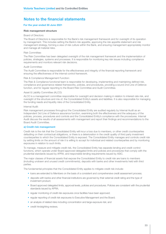### For the year ended 30 June 2021

#### Risk management structure

### Board of Directors:

The Board of Directors is responsible for the Bank's risk management framework and for oversight of its operation by management. This includes setting the Bank's risk appetite, approving the risk appetite statement and risk management strategy, forming a view of risk culture within the Bank, and ensuring management appropriately monitor and manage all material risks.

#### Risk Committee:

The Risk Committee has been delegated oversight of the risk management framework and the implementation of policies, strategies, systems and processes. It is responsible for monitoring key risk issues including compliance requirements and monitors relevant risk decisions.

#### Audit Committee:

The Audit Committee is responsible for the effectiveness and integrity of the financial reporting framework and ensuring the effectiveness of the internal control framework.

### Risk & Compliance Management Function:

The Risk & Compliance functional team is responsible for developing, implementing and maintaining defined risk, compliance and governance related frameworks, policies, and procedures, providing a sound 2nd Line of Defence function, and for regular reporting to the Board Risk Committee and Audit Committee.

#### Asset & Liability Committee (ALCO):

ALCO is a management committee responsible for oversight and decision making in relation to interest rate risk, and oversight of the structure and mix of, the Consolidated Entity's assets and liabilities. It is also responsible for managing the funding needs and liquidity risks of the Consolidated Entity.

#### Internal Audit:

Risk management processes throughout the Consolidated Entity are audited regularly by Internal Audit as an Independent 3rd Line of Defence assurance function, examining both the effectiveness and the adequacy of the policies, process, procedures and controls and the Consolidated Entity's compliance with the procedures. Internal Audit discuss the results of all assessments with management and report their findings and recommendations to the Board Audit Committee.

#### a) Credit risk management

Credit risk is the risk that the Consolidated Entity will incur a loss due to members, or other credit counterparties defaulting on their contractual obligations, or there is a deterioration in the credit quality of third party investment counterparties to which the Consolidated Entity is exposed. The Consolidated Entity manages and controls credit risk by setting limits on the amount of risk it is willing to accept for individual and related counterparties and by monitoring exposures in relation to such limits.

To manage, measure and mitigate credit risk, the Consolidated Entity has separate lending and credit control functions, which operate under Board approved delegated limits and policies and procedures that comply with the prudential standards issued by APRA, and responsible lending requirements issued by ASIC.

The major classes of financial assets that expose the Consolidated Entity to credit risk are loans to members (including undrawn and unused credit commitments), deposits with banks and other investments held with third parties.

The fundamental principles that the Consolidated Entity applies to mitigate credit risk include:

- loans are extended to Members on the basis of a consistent and comprehensive credit assessment process;
- deposits with banks and other financial institutions are governed by their external credit rating and the type of investment product;
- Board approved delegated limits, approval levels, policies and procedures. Policies are consistent with the prudential standards issued by APRA;
- regular monitoring of credit risk exposures once facilities have been approved;
- regular reporting of credit risk exposures to Executive Management and the Board;
- an analysis of related risks including concentration and large exposure risk; and
- credit hindsighting reviews.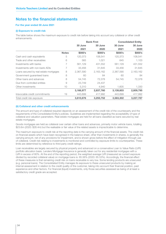### For the year ended 30 June 2021

### (i) Exposure to credit risk

The table below shows the maximum exposure to credit risk before taking into account any collateral or other credit enhancements.

|                                        |              | <b>Bank First</b> |           |           |           |  | <b>Consolidated Entity</b> |
|----------------------------------------|--------------|-------------------|-----------|-----------|-----------|--|----------------------------|
|                                        |              | 30 June           | 30 June   | 30 June   | 30 June   |  |                            |
|                                        |              | 2021              | 2020      | 2021      | 2020      |  |                            |
|                                        | <b>Notes</b> | \$000's           | \$000's   | \$000's   | \$000's   |  |                            |
| Cash and cash equivalents              | 5            | 120,373           | 108,541   | 120,373   | 108,541   |  |                            |
| Trade and other receivables            | 6            | 565               | 1,021     | 645       | 1,103     |  |                            |
| Investments with banks                 |              | 561,129           | 431,552   | 561,129   | 431,552   |  |                            |
| Investments with non-bank ADIs         |              | 33,456            | 31,645    | 33,456    | 31,645    |  |                            |
| Loans secured by real estate mortgages | 8            | 2,367,590         | 2,163,162 | 2,367,590 | 2,163,162 |  |                            |
| Government guaranteed loans            | 8            | 60                | 84        | 60        | 84        |  |                            |
| Other loans and advances               | 8            | 54.745            | 72,378    | 54.745    | 72,378    |  |                            |
| Due from controlled entities           | 9            | 23,749            | 24,437    |           |           |  |                            |
| Other investments                      | 10           | 5,310             | 4,940     | 1,605     | 1,330     |  |                            |
|                                        |              | 3,166,977         | 2,837,760 | 3,139,603 | 2,809,795 |  |                            |
| Irrevocable credit commitments         | 19           | 443,699           | 417,992   | 443,699   | 417,992   |  |                            |
| Total credit risk exposure             |              | 3,610,676         | 3,255,752 | 3,583,302 | 3,227,787 |  |                            |

### (ii) Collateral and other credit enhancements

The amount and type of collateral required depends on an assessment of the credit risk of the counterparty and the requirements of the Consolidated Entity's policies. Guidelines are implemented regarding the acceptability of type of collateral and valuation parameters. Real estate mortgages are held for all loans classified as loans secured by real estate mortgages.

Goods mortgages are held as collateral over certain other loans and advances, primarily motor vehicle loans, totalling \$23.6m (2020: \$28.4m) but the realisable or fair value of the related assets is impracticable to determine.

The maximum exposure to credit risk at the reporting date is the carrying amount of the financial assets. The credit risk on financial assets which have been recognised in the balance sheet, other than investments in shares, is generally the carrying amount, net of any provisions for impairment, and is shown gross before the effect of mitigation through use of collateral. Credit risk relating to investments is monitored and controlled by exposure limits to counterparties. These limits are determined by reference to third party credit ratings.

Loan receivables are largely secured by physical property and advanced on a conservative Loan to Value Ratio (LVR) portfolio allocation basis. Lenders Mortgage Insurance is generally taken out for any residential mortgages with a LVR in excess of 80%. At the end of the reporting period, the weighted average LVR (measured as current exposure divided by recorded collateral value) on mortgage loans is: 65.56% (2020: 65.53%). Accordingly, the financial effect of these measures is that remaining credit risk on loans receivable is very low. Some lending products are unsecured (e.g. personal loans). The Consolidated Entity manages its exposure to these unsecured products by making an internal assessment in relation to the credit quality of the customer, taking into account their financial position, past experience and other factors. For financial (liquid) investments, only those securities assessed as being of at least a satisfactory credit grade are accepted.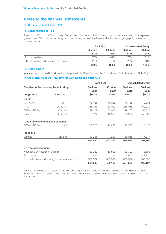### For the year ended 30 June 2021

### (iii) Concentration of Risk

The loan portfolio of the Consolidated Entity does not include individual loans or groups of related loans that represent greater than 10% of capital. An analysis of the concentration of the loans and advances by geographic location is provided below.

|                                         | <b>Bank First</b> |         | <b>Consolidated Entity</b> |         |
|-----------------------------------------|-------------------|---------|----------------------------|---------|
|                                         | 30 June           | 30 June | 30 June                    | 30 June |
|                                         | 2021              | 2020    | 2021                       | 2020    |
| Victorian residents                     | 75%               | 82%     | 75%                        | 82%     |
| Other Australian and overseas residents | 25%               | 18%     | 25%                        | 18%     |
|                                         | 100%              | $100\%$ | 100%                       | 100%    |

### (iv) Credit quality

Information on the credit quality of the loan portfolio for Bank First and the Consolidated Entity is shown in Note 8(b).

### (v) Credit risk exposure - investments with banks and other ADIs

|                                                  |                                                     | <b>Bank First</b> |         | <b>Consolidated Entity</b> |         |  |
|--------------------------------------------------|-----------------------------------------------------|-------------------|---------|----------------------------|---------|--|
| <b>Standard &amp; Poors or equivalent rating</b> |                                                     | 30 June           | 30 June | 30 June                    | 30 June |  |
|                                                  |                                                     | 2021              | 2020    | 2021                       | 2020    |  |
| Long-term                                        | Short-term                                          | \$000's           | \$000's | \$000's                    | \$000's |  |
| <b>Banks</b>                                     |                                                     |                   |         |                            |         |  |
| AA-to AA                                         | $A1+$                                               | 70,485            | 70,005  | 70,485                     | 70,005  |  |
| $A - to A +$                                     | A <sub>2</sub> to A <sub>1</sub>                    | 238,038           | 162,029 | 238,038                    | 162,029 |  |
| BBB- to BBB+                                     | A3 to A2                                            | 129,102           | 153,013 | 129,102                    | 153,013 |  |
| Unrated                                          | Unrated                                             | 123,504           | 46,505  | 123,504                    | 46,505  |  |
| <b>Credit unions and building societies</b>      |                                                     |                   |         |                            |         |  |
| BBB- to BBB+                                     | A2                                                  | 13,500            | 24,428  | 13,500                     | 24,428  |  |
| <b>Indue Ltd</b>                                 |                                                     |                   |         |                            |         |  |
| Unrated                                          | Unrated                                             | 19,956            | 7,217   | 19,956                     | 7,217   |  |
|                                                  |                                                     | 594,585           | 463,197 | 594,585                    | 463,197 |  |
| By type of investment                            |                                                     |                   |         |                            |         |  |
| Negotiable certificates of deposit               |                                                     | 182,322           | 113,583 | 182,322                    | 113,583 |  |
| Term deposits                                    |                                                     | 51,956            | 42,217  | 51,956                     | 42,217  |  |
|                                                  | Fixed rate notes and floating / variable rate notes | 360,307           | 307,397 | 360,307                    | 307,397 |  |
|                                                  |                                                     | 594,585           | 463,197 | 594,585                    | 463,197 |  |

Unrated investments are deposits held with counterparties that have not obtained an external rating with Moody's, Standard & Poors or similar rating agencies. These investments have been assessed and are considered a high grade investment.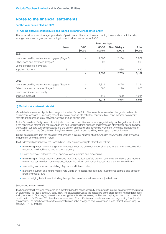### For the year ended 30 June 2021

### (vi) Ageing analysis of past due loans (Bank First and Consolidated Entity)

The table below shows the ageing analysis of past due and impaired loans (excluding loans under credit hardship arrangements) and is grouped according to credit risk exposure under AASB.

|                                                  | Past due days            |           |              |         |  |  |
|--------------------------------------------------|--------------------------|-----------|--------------|---------|--|--|
| <b>Note</b>                                      | $0 - 30$                 | $30 - 90$ | Over 90 days | Total   |  |  |
|                                                  | \$000's                  | \$000's   | \$000's      | \$000's |  |  |
| 2021                                             |                          |           |              |         |  |  |
| Loans secured by real estate mortgages (Stage 2) |                          | 1,805     | 2,104        | 3,909   |  |  |
| Other loans and advances (Stage 2)               |                          | 593       |              | 593     |  |  |
| Loans considered individually                    |                          |           |              |         |  |  |
| impaired (Stage 3)<br>8                          | $\overline{\phantom{a}}$ |           | 685          | 685     |  |  |
|                                                  |                          | 2,398     | 2,789        | 5,187   |  |  |
| 2020                                             |                          |           |              |         |  |  |
| Loans secured by real estate mortgages (Stage 2) |                          | 2,319     | 3,025        | 5,344   |  |  |
| Other loans and advances (Stage 2)               |                          | 580       | 20           | 600     |  |  |
| Loans considered individually                    |                          |           |              |         |  |  |
| impaired (Stage 3)<br>8                          | $\overline{\phantom{a}}$ | 115       | 929          | 1,044   |  |  |
|                                                  |                          | 3,014     | 3,974        | 6,988   |  |  |

#### b) Market risk - Interest rate risk

Market risk is a measure of potential change in the value of a portfolio of instruments as a result of changes in the financial environment (changes in underlying market risk factors such as interest rates, equity markets, bond markets, commodity markets and exchange rates) between now and a future point in time.

As the Consolidated Entity does not participate in the bond or equities market or engage in foreign exchange transactions, it is the non-traded interest rate risk in our banking book, resulting from increases or decreases in interest rates arising from the execution of our core business strategies and the delivery of products and services to Members, which has the potential for major risk impact on the Consolidated Entity's net interest earnings and sensitivity to changes in economic value.

Interest rate risk arises from the possibility that changes in interest rates will affect future cash flows, the fair value of financial instruments, or the net interest margin.

The fundamental principles that the Consolidated Entity applies to mitigate interest rate risk are:

- maintaining a net interest margin that is adequate for the achievement of short and longer-term objectives with respect to profitability and capital accumulation;
- Board approved delegated limits, approval levels, policies and procedures;
- maintaining an Asset Liability Committee (ALCO) to review portfolio growth, economic conditions and markets, review interest rate risk metrics reports, determine pricing and advise interest rate changes to the Board;
- forecasting and scenario modelling of growth and interest rates:
- monitoring current and future interest rate yields on its loans, deposits and investments portfolio and effect on profit and equity; and
- use of hedging techniques, including through the use of interest rate swaps (derivatives).

#### Sensitivity to interest rate risk:

The Consolidated Entity also measures on a monthly basis the stress sensitivity of earnings to interest rate movements, utilising an Earnings at Risk (EaR) sensitivity calculation. The calculation involves the measuring of the static interest rate repricing gaps arising as a result of the varying interest rate repricing characteristics of assets, liabilities and capital, and the impact, over a 12 month period, of a 1% and 2% interest rate increase and 1% and 2% interest rate decrease on earnings arising from the static gap position. The table below shows the potential unfavourable change to post tax earnings due to interest rates utilising EaR sensitivity (+/-1% change):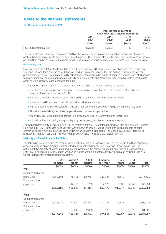### For the year ended 30 June 2021

|                           |                | Interest rate movement<br><b>Bank First and Consolidated Entity</b> |                |                |  |  |
|---------------------------|----------------|---------------------------------------------------------------------|----------------|----------------|--|--|
|                           | $+1\%$<br>2021 | $+1\%$<br>2020                                                      | $-1\%$<br>2021 | $-1\%$<br>2020 |  |  |
|                           | \$000's        | \$000's                                                             | \$000's        | \$000's        |  |  |
| Post Tax Earnings at risk | (2.134)        | (3.639)                                                             | 186            | 546            |  |  |

The major classes of financial assets and liabilities that are subject to interest rate variation are loans to Members, cash with banks, investments and deposits from Members. The interest rates on the major proportion of these assets and liabilities can be adjusted in the short-term to minimise any significant impact of mis-match on interest margins.

### c)Liquidity risk

Liquidity risk is the risk that the Consolidated Entity will encounter difficulty in meeting obligations, both in the short term and the long term associated with financial and certain other liabilities that are settled by delivering cash or another financial asset. Sources of liquidity risk include unforeseen withdrawals of demand deposits, restricted access to new funding sources with appropriate maturity and interest rate characteristics, inability to liquidate a marketable asset and a sudden increased demand for loans.

The fundamental principles that the Consolidated Entity applies to mitigate liquidity risk are to:

- maintain a significant portfolio of readily redeemable high quality liquid investments consistent with the prudential standards issued by APRA;
- maintain a prudent balance of cash and cash equivalents to meet its operational needs;
- measure liquidity levels on a daily basis and report to management:
- manage assets with their liquidity in mind and monitor future cash flows and liquidity on a monthly basis;
- Board approved delegated limits, approval levels, policies and procedures;
- report liquidity levels and future trends to the Asset and Liability Committee and Board; and
- maintain a liquidity contingency plan, liquidity contingency facilities and a retain run plan.

The Consolidated Entity is required by APRA to maintain at least 9% of total adjusted liabilities as Minimum Liquidity Holdings (MLH). MLH includes deposits held with other Authorised Deposit Taking Institutions capable of being converted to cash within 2 business days under APRA prudential standards. The Consolidated Entity policy is to maintain at least 12% as MLH. The MLH ratio at 30 June 2021 was 18.28% (2020: 16.41%).

### Maturity profile of financial liabilities

The tables below summarise the maturity profile of Bank First and Consolidated Entity's financial liabilities at balance sheet date based on contractual undiscounted repayment obligations. Bank First and Consolidated Entity do not expect the majority of Members to request repayment on the earliest date that Bank First and Consolidated Entity could be required to pay, and the tables do not reflect the expected cash flows indicated by Bank First and Consolidated Entity's deposit retention history.

|                    | On<br>demand | <b>Within 1</b><br>month | $1$ to $3$<br>months | 3 months<br>to 1 year | 1 to $5$<br>years | >5<br>years              | Total     |
|--------------------|--------------|--------------------------|----------------------|-----------------------|-------------------|--------------------------|-----------|
|                    | \$000's      | \$000's                  | \$000's              | \$000's               | \$000's           | \$000's                  | \$000's   |
| 2021               |              |                          |                      |                       |                   |                          |           |
| Deposits and other |              |                          |                      |                       |                   |                          |           |
| borrowings         | 1,952,198    | 176,708                  | 296,051              | 360,953               | 131,810           | $\overline{\phantom{a}}$ | 2,917,720 |
| Trade and other    |              |                          |                      |                       |                   |                          |           |
| payables           |              | 12,111                   | 1,226                | 2,520                 | 6,537             | 12,840                   | 35,234    |
|                    | 1,952,198    | 188,819                  | 297,277              | 363,473               | 138,347           | 12,840                   | 2,952,954 |
| 2020               |              |                          |                      |                       |                   |                          |           |
| Deposits and other |              |                          |                      |                       |                   |                          |           |
| borrowings         | 1,677,616    | 177,892                  | 303,551              | 371,025               | 75,348            | $\overline{\phantom{a}}$ | 2,605,432 |
| Trade and other    |              |                          |                      |                       |                   |                          |           |
| payables           |              | 4,849                    | 2,056                | 3,526                 | 5,519             | 15,975                   | 31,925    |
|                    | 1,677,616    | 182,741                  | 305,607              | 374,551               | 80,867            | 15,975                   | 2,637,357 |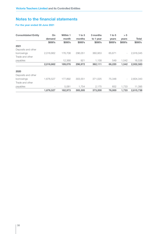### For the year ended 30 June 2021

| <b>Consolidated Entity</b> | On                       | <b>Within 1</b> | 1 to $3$ | 3 months  | 1 to $5$ | > 5                      |              |
|----------------------------|--------------------------|-----------------|----------|-----------|----------|--------------------------|--------------|
|                            | demand                   | month           | months   | to 1 year | years    | years                    | <b>Total</b> |
|                            | \$000's                  | \$000's         | \$000's  | \$000's   | \$000's  | \$000's                  | \$000's      |
| 2021                       |                          |                 |          |           |          |                          |              |
| Deposits and other         |                          |                 |          |           |          |                          |              |
| borrowings                 | 2,016,662                | 176,708         | 296.051  | 360,953   | 65.671   | $\overline{\phantom{a}}$ | 2,916,045    |
| Trade and other            |                          |                 |          |           |          |                          |              |
| payables                   | $\overline{\phantom{a}}$ | 12,368          | 921      | 1,158     | 549      | 1.542                    | 16,538       |
|                            | 2,016,662                | 189,076         | 296,972  | 362,111   | 66,220   | 1.542                    | 2,932,583    |
| 2020                       |                          |                 |          |           |          |                          |              |
| Deposits and other         |                          |                 |          |           |          |                          |              |
| borrowings                 | 1,676,527                | 177.892         | 303.551  | 371.025   | 75,348   | $\overline{\phantom{a}}$ | 2.604.343    |
| Trade and other            |                          |                 |          |           |          |                          |              |
| payables                   |                          | 5,081           | 1.754    | 2,175     | 652      | 1.733                    | 11,395       |
|                            | 1,676,527                | 182,973         | 305,305  | 373,200   | 76,000   | 1.733                    | 2.615.738    |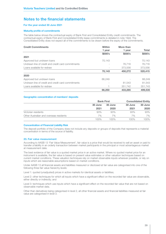### For the year ended 30 June 2021

#### Maturity profile of commitments

The table below shows the contractual expiry of Bank First and Consolidated Entity credit commitments. The contractual expiry of Bank First and Consolidated Entity lease commitments is detailed in note 19(d). The Consolidated Entity does not expect all of the commitments to be drawn before the expiry of the commitments.

| <b>Credit Commitments</b>                          | <b>Within</b>            | More than |         |
|----------------------------------------------------|--------------------------|-----------|---------|
|                                                    | 1 year                   | 1 year    | Total   |
|                                                    | \$000's                  | \$000's   | \$000's |
| 2021                                               |                          |           |         |
| Approved but undrawn loans                         | 70,143                   |           | 70,143  |
| Undrawn line of credit and credit card commitments | $\overline{\phantom{0}}$ | 76.716    | 76.716  |
| Loans available for redraw                         |                          | 373,556   | 373,556 |
|                                                    | 70,143                   | 450,272   | 520,415 |
| 2020                                               |                          |           |         |
| Approved but undrawn loans                         | 66,249                   |           | 66,249  |
| Undrawn line of credit and credit card commitments |                          | 81,543    | 81,543  |
| Loans available for redraw                         |                          | 351,742   | 351,743 |
|                                                    | 66,250                   | 433,285   | 499,535 |

### Geographic concentration of members' deposits

|                                         | <b>Bank First</b> |         | <b>Consolidated Entity</b> |         |
|-----------------------------------------|-------------------|---------|----------------------------|---------|
|                                         | 30 June           | 30 June | 30 June                    | 30 June |
|                                         | 2021              | 2020    | 2021                       | 2020    |
| Victorian residents                     | 93%               | 93%     | 93%                        | 93%     |
| Other Australian and overseas residents | 7%                | 7%      | 7%                         | 7%      |
|                                         | 100%              | 100%    | 100%                       | 100%    |

### Concentration of Financial Liability Risk

The deposit portfolio of the Company does not include any deposits or groups of deposits that represents a material concentration in terms of the source of liability.

### 23. Fair value measurement

According to AASB 13 'Fair Value Measurement', fair value is a price that would be received to sell an asset or paid to transfer a liability in an orderly transaction between market participants in the principal or most advantageous market at measurement date.

The best evidence of fair value is a quoted market price in an active market. Where no quoted market price for an instrument is available, the fair value is based on present value estimates or other valuation techniques based on current market conditions. These valuation techniques rely on market observable inputs wherever possible, or rely on inputs which are reasonable assumptions based on market conditions.

Under AASB 13 all financial assets and liabilities measured or disclosed at fair value are categorised into one of the following three fair value hierarchy levels:

Level 1: quoted (unadjusted) prices in active markets for identical assets or liabilities;

Level 2: other techniques for which all inputs which have a significant effect on the recorded fair value are observable, either directly or indirectly; and

Level 3: techniques which use inputs which have a significant effect on the recorded fair value that are not based on observable market data.

Other than derivatives being categorised in level 2, all other financial assets and financial liabilities measured at fair value are categorised in level 3.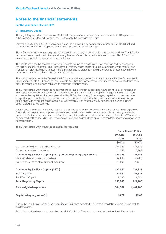### For the year ended 30 June 2021

### 24. Regulatory Capital

The regulatory capital requirements of Bank First comprises Victoria Teachers Limited and its APRA approved subsidiary (as an Extended Licence Entity), effectively the Consolidated Entity.

Common Equity Tier 1 (CET1) Capital comprises the highest quality components of Capital. For Bank First and Consolidated Entity Tier 1 Capital is primarily comprised of retained earnings.

Tier 2 Capital includes other components of capital that, to varying degrees, fall short of the quality of Tier 1 Capital but nonetheless contribute to the overall strength of an ADI and its capacity to absorb losses. Tier 2 Capital is primarily comprised of the reserve for credit losses.

The capital ratio can be affected by growth in assets relative to growth in retained earnings and by changes in the quality and mix of assets. The Consolidated Entity manages capital through reviewing the ratio monthly and monitoring major movements in asset levels. Further, capital projections are undertaken to assess how strategic decisions or trends may impact on the level of capital.

The primary objectives of the Consolidated Entity's capital management plan are to ensure that the Consolidated Entity complies with APRA's capital requirements and that the Consolidated Entity maintains sound capital ratios in order to manage its business risks and to maximise Member value.

The Consolidated Entity manages its internal capital levels for both current and future activities by conducting an Internal Capital Adequacy Assessment Process (ICAAP) and maintaining a Capital Management Plan. The plan addresses the capital requirements prescribed by APRA, the strategy for managing capital resources over time, a capital target, how the required capital requirement is to be met and actions and procedures for monitoring compliance with minimum capital adequacy requirements. The capital strategy primarily focuses on building accumulated retained earnings.

Capital adequacy is determined as a ratio of the capital base to the Consolidated Entity's risk weighted exposures. Risk weighted exposures comprises all assets and certain other credit commitments, discounted by regulatory prescribed factors as appropriate, to reflect the lower risk profile of certain assets and commitments. APRA requires all regulated entities, including the Consolidated Entity to also include an amount of capital to recognise exposure to operational risk.

The Consolidated Entity manages as capital the following:

|                                                                          |           | <b>Consolidated Entity</b> |
|--------------------------------------------------------------------------|-----------|----------------------------|
|                                                                          | 30 June   | 30 June                    |
|                                                                          | 2021      | 2020                       |
|                                                                          | \$000's   | \$000's                    |
| Comprehensive income & other Reserves                                    | 227,386   | 217,819                    |
| Current year retained earnings                                           | 11,942    | 9,364                      |
| <b>Common Equity Tier 1 Capital (CET1) before regulatory adjustments</b> | 239,328   | 227,183                    |
| Capitalised expenses and intangibles                                     | (5,069)   | (4, 515)                   |
| Equity exposures to other financial institutions                         | (1,605)   | (1,330)                    |
| <b>Common Equity Tier 1 Capital (CET1)</b>                               | 232,654   | 221,338                    |
| <b>Tier 1 Capital</b>                                                    | 232,654   | 221,338                    |
| <b>Total Tier 2 Capital</b>                                              | 8,089     | 7,947                      |
| <b>Total Regulatory Capital</b>                                          | 240,743   | 229,285                    |
| <b>Risk weighted exposures</b>                                           | 1,531,561 | 1,467,986                  |
| Capital adequacy ratio (%)                                               | 15.72     | 15.62                      |

During the year, Bank First and the Consolidated Entity has complied in full with all capital requirements and met its capital targets.

Full details on the disclosure required under APS 330 Public Disclosure are provided on the Bank First website.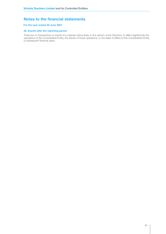### For the year ended 30 June 2021

### 25. Events after the reporting period

There are no transactions or events of a material nature likely, in the opinion of the Directors, to affect significantly the operations of the Consolidated Entity, the results of those operations, or the state of affairs of the Consolidated Entity, in subsequent financial years.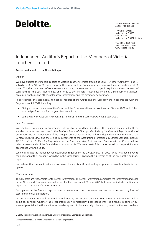Deloitte Touche Tohmatsu ABN 74 490 121 060

477 Collins Street Melbourne VIC 3000 GPO Box 78 Melbourne VIC 3001 Australia

Tel: +61 3 9671 7000 Fax: +61 3 9671 7001 www.deloitte.com.au

## **Independent Auditor**'s Report to the Members of Victoria and Victoria and Victoria and Victoria and Victoria and V<br>Teachers Limited Independent Auditor's Report to the Members of Victoria

### Report on the Audit of the Financial Report

#### $C$ pinion  $\mathcal{L}$ *Opinion*

*Opinion* subsidiaries (the "Group") which comprise the Group and the Company's statements of financial position as at 30 June 2021 , the statements of comprehensive income, the statements of changes in equity and the statements of cash flows for the year then ended, and notes to the financial statements, including a summary of significant accounting policies and other explanatory information, and the directors' declaration. We have audited the financial reports of Victoria Teachers Limited trading as Bank First (the "Company") and its

In our opinion, the accompanying financial reports of the Group and the Company are in accordance with the Corporations Act 2001, including:

- Giving a true and fair view of the Group and the Company's financial position as at 30 June 2021 and of their financial performance for the year then ended; and
- Complying with Australian Accounting Standards and the *Corporations Regulations 2001*. financial performance for the year then ended; and

#### • Complying with Australian Accounting Standards and the *Corporations Regulations 2001*. *Basis for Opinion*

*Basis for Opinion* standards are further described in the *Auditor's Responsibilities for the Audit of the Financial Reports* section of our report. We are independent of the Group in accordance with the auditor independence requirements of the Corporations Act 2001 and the ethical requirements of the Accounting Professional & Ethical Standards Board's APES 110 *Code of Ethics for Professional Accountants (including Independence Standards)* (the Code) that are relevant to our audit of the financial reports in Australia. We have also fulfilled our other ethical responsibilities in APES 110 *Code of Ethics for Professional Accountants (including Independence Standards)* (the Code) that are accordance with the Code. We conducted our audit in accordance with Australian Auditing Standards. Our responsibilities under those

We confirm that the independence declaration required by the Corporations Act 2001, which has been given to the directors of the Company, would be in the same terms if given to the directors as at the time of this auditor's We confirm that the independence declaration required by the *Corporations Act 2001, which has been* given to the *Corporations Act 2001, which has been given to the act 2001, which has been given to the sense which has be* report.

We believe that the audit evidence we have obtained is sufficient and appropriate to provide a basis for our opinion.

### We believe that the audit evidence we have obtained is sufficient and appropriate to provide a basis for our opinion. *Other Information*

in the Group and Company's annual report for the year ended 30 June 2021 but does not include the financial reports and our auditor's report thereon. The information included  $\alpha$ The directors are responsible for the other information. The other information comprises the information included

Our opinion on the financial reports does not cover the other information and we do not express any form of assurance conclusion thereon.

In connection with our audit of the financial reports, our responsibility is to read the other information and, in doing so, consider whether the other information is materially inconsistent with the financial reports or our knowledge obtained in the audit, or otherwise appears to be materially misstated. If, based on the work we have

Liability limited by a scheme approved under Professional Standards Legislation.

Member of Deloitte Asia Pacific Limited and the Deloitte organisation.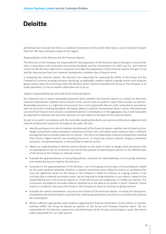performed, we conclude that there is a material misstatement of this other information, we are required to report that fact. We have nothing to report in this regard.

### *Responsibilities of the Directors for the Financial Reports*

The directors of the Company are responsible for the preparation of the financial reports that give a true and fair view in accordance with Australian Accounting Standards and the *Corporations Act 2001* and for such internal control as the directors determine is necessary to enable the preparation of the financial reports that give a true and fair view and are free from material misstatement, whether due to fraud or error.

In preparing the financial reports, the directors are responsible for assessing the ability of the Group and the Company to continue as going concerns, disclosing, as applicable, matters related to going concern and using the going concern basis of accounting unless the directors either intend to liquidate the Group or the Company or to cease operations, or has no realistic alternative but to do so.

#### *Auditor's Responsibilities for the Audit of the Financial Reports*

Our objectives are to obtain reasonable assurance about whether the financial reports as a whole are free from material misstatement, whether due to fraud or error, and to issue an auditor's report that includes our opinion. Reasonable assurance is a high level of assurance, but is not a guarantee that an audit conducted in accordance with the Australian Auditing Standards will always detect a material misstatement when it exists. Misstatements can arise from fraud or error and are considered material if, individually or in the aggregate, they could reasonably be expected to influence the economic decisions of users taken on the basis of the financial reports.

As part of an audit in accordance with the Australian Auditing Standards, we exercise professional judgement and maintain professional scepticism throughout the audit. We also:

- Identify and assess the risks of material misstatement of the financial reports, whether due to fraud or error, design and perform audit procedures responsive to those risks, and obtain audit evidence that is sufficient and appropriate to provide a basis for our opinion. The risk of not detecting a material misstatement resulting from fraud is higher than for one resulting from error, as fraud may involve collusion, forgery, intentional omissions, misrepresentations, or the override of internal control.
- Obtain an understanding of internal control relevant to the audit in order to design audit procedures that are appropriate in the circumstances, but not for the purpose of expressing an opinion on the effectiveness of the Group or the Company's internal control.
- Evaluate the appropriateness of accounting policies used and the reasonableness of accounting estimates and related disclosures made by the directors.
- Conclude on the appropriateness of the directors' use of the going concern basis of accounting and, based on the audit evidence obtained, whether a material uncertainty exists related to events or conditions that may cast significant doubt on the Group or the Company's ability to continue as a going concern. If we conclude that a material uncertainty exists, we are required to draw attention in our auditor's report to the related disclosures in the financial reports or, if such disclosures are inadequate, to modify our opinion. Our conclusions are based on the audit evidence obtained up to the date of our auditor's report. However, future events or conditions may cause the Group or the Company to cease to continue as going concerns.
- Evaluate the overall presentation, structure and content of the financial reports, including the disclosures, and whether the financial reports represent the underlying transactions and events in a manner that achieves fair presentation.
- Obtain sufficient appropriate audit evidence regarding the financial information of the entities or business activities within the Group to express an opinion on the Group and Company financial report. We are responsible for the direction, supervision and performance of the Group's and Company's audit. We remain solely responsible for our audit opinion.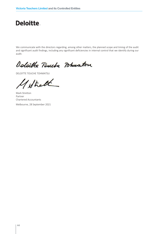We communicate with the directors regarding, among other matters, the planned scope and timing of the audit and significant audit findings, including any significant deficiencies in internal control that we identify during our audit.

Deloible Touche Pohmaton

DELOITTE TOUCHE TOHMATSU

Strath

Mark Stretton Partner Chartered Accountants

Melbourne, 28 September 2021